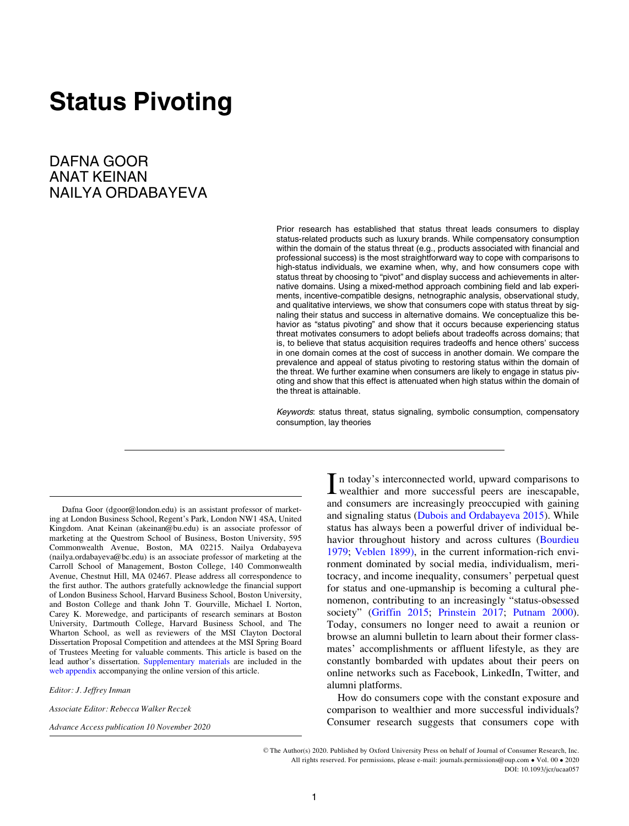# Status Pivoting

DAFNA GOOR ANAT KEINAN NAILYA ORDABAYEVA

> Prior research has established that status threat leads consumers to display status-related products such as luxury brands. While compensatory consumption within the domain of the status threat (e.g., products associated with financial and professional success) is the most straightforward way to cope with comparisons to high-status individuals, we examine when, why, and how consumers cope with status threat by choosing to "pivot" and display success and achievements in alternative domains. Using a mixed-method approach combining field and lab experiments, incentive-compatible designs, netnographic analysis, observational study, and qualitative interviews, we show that consumers cope with status threat by signaling their status and success in alternative domains. We conceptualize this behavior as "status pivoting" and show that it occurs because experiencing status threat motivates consumers to adopt beliefs about tradeoffs across domains; that is, to believe that status acquisition requires tradeoffs and hence others' success in one domain comes at the cost of success in another domain. We compare the prevalence and appeal of status pivoting to restoring status within the domain of the threat. We further examine when consumers are likely to engage in status pivoting and show that this effect is attenuated when high status within the domain of the threat is attainable.

> Keywords: status threat, status signaling, symbolic consumption, compensatory consumption, lay theories

Dafna Goor (dgoor@london.edu) is an assistant professor of marketing at London Business School, Regent's Park, London NW1 4SA, United Kingdom. Anat Keinan (akeinan@bu.edu) is an associate professor of marketing at the Questrom School of Business, Boston University, 595 Commonwealth Avenue, Boston, MA 02215. Nailya Ordabayeva (nailya.ordabayeva@bc.edu) is an associate professor of marketing at the Carroll School of Management, Boston College, 140 Commonwealth Avenue, Chestnut Hill, MA 02467. Please address all correspondence to the first author. The authors gratefully acknowledge the financial support of London Business School, Harvard Business School, Boston University, and Boston College and thank John T. Gourville, Michael I. Norton, Carey K. Morewedge, and participants of research seminars at Boston University, Dartmouth College, Harvard Business School, and The Wharton School, as well as reviewers of the MSI Clayton Doctoral Dissertation Proposal Competition and attendees at the MSI Spring Board of Trustees Meeting for valuable comments. This article is based on the lead author's dissertation. Supplementary materials are included in the web appendix accompanying the online version of this article.

Editor: J. Jeffrey Inman

Associate Editor: Rebecca Walker Reczek

Advance Access publication 10 November 2020

In today's interconnected world, upward comparisons to<br>wealthier and more successful peers are inescapable, and consumers are increasingly preoccupied with gaining and signaling status [\(Dubois and Ordabayeva 2015](#page-22-0)). While status has always been a powerful driver of individual be-havior throughout history and across cultures [\(Bourdieu](#page-21-0) [1979;](#page-21-0) [Veblen 1899\)](#page-23-0), in the current information-rich environment dominated by social media, individualism, meritocracy, and income inequality, consumers' perpetual quest for status and one-upmanship is becoming a cultural phenomenon, contributing to an increasingly "status-obsessed society" [\(Griffin 2015](#page-22-0); [Prinstein 2017;](#page-23-0) [Putnam 2000\)](#page-23-0). Today, consumers no longer need to await a reunion or browse an alumni bulletin to learn about their former classmates' accomplishments or affluent lifestyle, as they are constantly bombarded with updates about their peers on online networks such as Facebook, LinkedIn, Twitter, and alumni platforms.

How do consumers cope with the constant exposure and comparison to wealthier and more successful individuals? Consumer research suggests that consumers cope with

V<sup>C</sup> The Author(s) 2020. Published by Oxford University Press on behalf of Journal of Consumer Research, Inc. All rights reserved. For permissions, please e-mail: journals.permissions@oup.com • Vol. 00 • 2020 DOI: 10.1093/jcr/ucaa057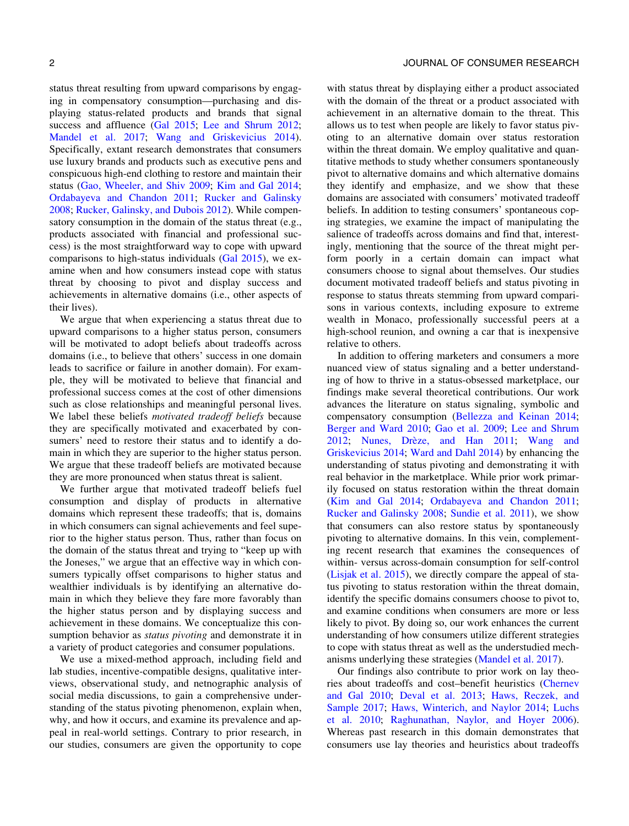status threat resulting from upward comparisons by engaging in compensatory consumption—purchasing and displaying status-related products and brands that signal success and affluence ([Gal 2015](#page-22-0); [Lee and Shrum 2012;](#page-23-0) [Mandel et al. 2017](#page-23-0); [Wang and Griskevicius 2014\)](#page-23-0). Specifically, extant research demonstrates that consumers use luxury brands and products such as executive pens and conspicuous high-end clothing to restore and maintain their status [\(Gao, Wheeler, and Shiv 2009](#page-22-0); [Kim and Gal 2014;](#page-22-0) [Ordabayeva and Chandon 2011;](#page-23-0) [Rucker and Galinsky](#page-23-0) [2008;](#page-23-0) [Rucker, Galinsky, and Dubois 2012](#page-23-0)). While compensatory consumption in the domain of the status threat (e.g., products associated with financial and professional success) is the most straightforward way to cope with upward comparisons to high-status individuals ([Gal 2015\)](#page-22-0), we examine when and how consumers instead cope with status threat by choosing to pivot and display success and achievements in alternative domains (i.e., other aspects of their lives).

We argue that when experiencing a status threat due to upward comparisons to a higher status person, consumers will be motivated to adopt beliefs about tradeoffs across domains (i.e., to believe that others' success in one domain leads to sacrifice or failure in another domain). For example, they will be motivated to believe that financial and professional success comes at the cost of other dimensions such as close relationships and meaningful personal lives. We label these beliefs motivated tradeoff beliefs because they are specifically motivated and exacerbated by consumers' need to restore their status and to identify a domain in which they are superior to the higher status person. We argue that these tradeoff beliefs are motivated because they are more pronounced when status threat is salient.

We further argue that motivated tradeoff beliefs fuel consumption and display of products in alternative domains which represent these tradeoffs; that is, domains in which consumers can signal achievements and feel superior to the higher status person. Thus, rather than focus on the domain of the status threat and trying to "keep up with the Joneses," we argue that an effective way in which consumers typically offset comparisons to higher status and wealthier individuals is by identifying an alternative domain in which they believe they fare more favorably than the higher status person and by displaying success and achievement in these domains. We conceptualize this consumption behavior as *status pivoting* and demonstrate it in a variety of product categories and consumer populations.

We use a mixed-method approach, including field and lab studies, incentive-compatible designs, qualitative interviews, observational study, and netnographic analysis of social media discussions, to gain a comprehensive understanding of the status pivoting phenomenon, explain when, why, and how it occurs, and examine its prevalence and appeal in real-world settings. Contrary to prior research, in our studies, consumers are given the opportunity to cope

with status threat by displaying either a product associated with the domain of the threat or a product associated with achievement in an alternative domain to the threat. This allows us to test when people are likely to favor status pivoting to an alternative domain over status restoration within the threat domain. We employ qualitative and quantitative methods to study whether consumers spontaneously pivot to alternative domains and which alternative domains they identify and emphasize, and we show that these domains are associated with consumers' motivated tradeoff beliefs. In addition to testing consumers' spontaneous coping strategies, we examine the impact of manipulating the salience of tradeoffs across domains and find that, interestingly, mentioning that the source of the threat might perform poorly in a certain domain can impact what consumers choose to signal about themselves. Our studies document motivated tradeoff beliefs and status pivoting in response to status threats stemming from upward comparisons in various contexts, including exposure to extreme wealth in Monaco, professionally successful peers at a high-school reunion, and owning a car that is inexpensive relative to others.

In addition to offering marketers and consumers a more nuanced view of status signaling and a better understanding of how to thrive in a status-obsessed marketplace, our findings make several theoretical contributions. Our work advances the literature on status signaling, symbolic and compensatory consumption ([Bellezza and Keinan 2014;](#page-21-0) [Berger and Ward 2010](#page-21-0); [Gao et al. 2009;](#page-22-0) [Lee and Shrum](#page-23-0) [2012;](#page-23-0) Nunes, Drèze, and Han 2011; [Wang and](#page-23-0) [Griskevicius 2014](#page-23-0); [Ward and Dahl 2014](#page-24-0)) by enhancing the understanding of status pivoting and demonstrating it with real behavior in the marketplace. While prior work primarily focused on status restoration within the threat domain ([Kim and Gal 2014;](#page-22-0) [Ordabayeva and Chandon 2011;](#page-23-0) [Rucker and Galinsky 2008](#page-23-0); [Sundie et al. 2011\)](#page-23-0), we show that consumers can also restore status by spontaneously pivoting to alternative domains. In this vein, complementing recent research that examines the consequences of within- versus across-domain consumption for self-control ([Lisjak et al. 2015\)](#page-23-0), we directly compare the appeal of status pivoting to status restoration within the threat domain, identify the specific domains consumers choose to pivot to, and examine conditions when consumers are more or less likely to pivot. By doing so, our work enhances the current understanding of how consumers utilize different strategies to cope with status threat as well as the understudied mechanisms underlying these strategies ([Mandel et al. 2017](#page-23-0)).

Our findings also contribute to prior work on lay theories about tradeoffs and cost–benefit heuristics [\(Chernev](#page-22-0) [and Gal 2010](#page-22-0); [Deval et al. 2013;](#page-22-0) [Haws, Reczek, and](#page-22-0) [Sample 2017;](#page-22-0) [Haws, Winterich, and Naylor 2014](#page-22-0); [Luchs](#page-23-0) [et al. 2010](#page-23-0); [Raghunathan, Naylor, and Hoyer 2006\)](#page-23-0). Whereas past research in this domain demonstrates that consumers use lay theories and heuristics about tradeoffs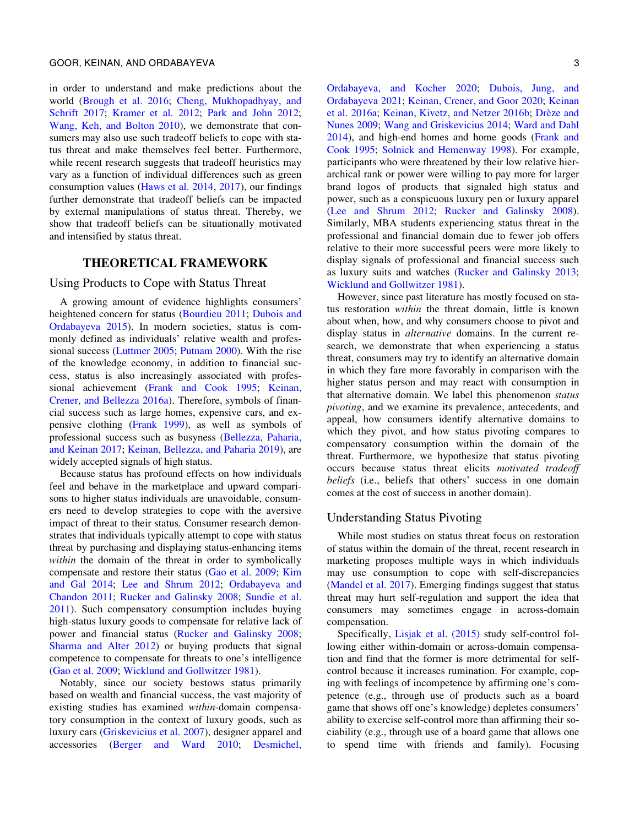in order to understand and make predictions about the world [\(Brough et al. 2016;](#page-21-0) [Cheng, Mukhopadhyay, and](#page-21-0) [Schrift 2017;](#page-21-0) [Kramer et al. 2012;](#page-22-0) [Park and John 2012;](#page-23-0) [Wang, Keh, and Bolton 2010](#page-23-0)), we demonstrate that consumers may also use such tradeoff beliefs to cope with status threat and make themselves feel better. Furthermore, while recent research suggests that tradeoff heuristics may vary as a function of individual differences such as green consumption values ([Haws et al. 2014](#page-22-0), [2017\)](#page-22-0), our findings further demonstrate that tradeoff beliefs can be impacted by external manipulations of status threat. Thereby, we show that tradeoff beliefs can be situationally motivated and intensified by status threat.

### THEORETICAL FRAMEWORK

#### Using Products to Cope with Status Threat

A growing amount of evidence highlights consumers' heightened concern for status ([Bourdieu 2011](#page-21-0); [Dubois and](#page-22-0) [Ordabayeva 2015\)](#page-22-0). In modern societies, status is commonly defined as individuals' relative wealth and professional success ([Luttmer 2005](#page-23-0); [Putnam 2000](#page-23-0)). With the rise of the knowledge economy, in addition to financial success, status is also increasingly associated with professional achievement ([Frank and Cook 1995;](#page-22-0) [Keinan,](#page-22-0) [Crener, and Bellezza 2016a\)](#page-22-0). Therefore, symbols of financial success such as large homes, expensive cars, and expensive clothing [\(Frank 1999\)](#page-22-0), as well as symbols of professional success such as busyness ([Bellezza, Paharia,](#page-21-0) [and Keinan 2017;](#page-21-0) [Keinan, Bellezza, and Paharia 2019\)](#page-22-0), are widely accepted signals of high status.

Because status has profound effects on how individuals feel and behave in the marketplace and upward comparisons to higher status individuals are unavoidable, consumers need to develop strategies to cope with the aversive impact of threat to their status. Consumer research demonstrates that individuals typically attempt to cope with status threat by purchasing and displaying status-enhancing items within the domain of the threat in order to symbolically compensate and restore their status ([Gao et al. 2009;](#page-22-0) [Kim](#page-22-0) [and Gal 2014](#page-22-0); [Lee and Shrum 2012;](#page-23-0) [Ordabayeva and](#page-23-0) [Chandon 2011](#page-23-0); [Rucker and Galinsky 2008;](#page-23-0) [Sundie et al.](#page-23-0) [2011\)](#page-23-0). Such compensatory consumption includes buying high-status luxury goods to compensate for relative lack of power and financial status ([Rucker and Galinsky 2008;](#page-23-0) [Sharma and Alter 2012\)](#page-23-0) or buying products that signal competence to compensate for threats to one's intelligence [\(Gao et al. 2009](#page-22-0); [Wicklund and Gollwitzer 1981](#page-24-0)).

Notably, since our society bestows status primarily based on wealth and financial success, the vast majority of existing studies has examined within-domain compensatory consumption in the context of luxury goods, such as luxury cars ([Griskevicius et al. 2007\)](#page-22-0), designer apparel and accessories ([Berger and Ward 2010;](#page-21-0) [Desmichel,](#page-22-0)

[Ordabayeva, and Kocher 2020;](#page-22-0) [Dubois, Jung, and](#page-22-0) [Ordabayeva 2021;](#page-22-0) [Keinan, Crener, and Goor 2020;](#page-22-0) [Keinan](#page-22-0) [et al. 2016a](#page-22-0); [Keinan, Kivetz, and Netzer 2016b](#page-22-0); Drèze and [Nunes 2009;](#page-22-0) [Wang and Griskevicius 2014](#page-23-0); [Ward and Dahl](#page-24-0) [2014\)](#page-24-0), and high-end homes and home goods [\(Frank and](#page-22-0) [Cook 1995](#page-22-0); [Solnick and Hemenway 1998](#page-23-0)). For example, participants who were threatened by their low relative hierarchical rank or power were willing to pay more for larger brand logos of products that signaled high status and power, such as a conspicuous luxury pen or luxury apparel ([Lee and Shrum 2012](#page-23-0); [Rucker and Galinsky 2008\)](#page-23-0). Similarly, MBA students experiencing status threat in the professional and financial domain due to fewer job offers relative to their more successful peers were more likely to display signals of professional and financial success such as luxury suits and watches [\(Rucker and Galinsky 2013;](#page-23-0) [Wicklund and Gollwitzer 1981](#page-24-0)).

However, since past literature has mostly focused on status restoration within the threat domain, little is known about when, how, and why consumers choose to pivot and display status in alternative domains. In the current research, we demonstrate that when experiencing a status threat, consumers may try to identify an alternative domain in which they fare more favorably in comparison with the higher status person and may react with consumption in that alternative domain. We label this phenomenon status pivoting, and we examine its prevalence, antecedents, and appeal, how consumers identify alternative domains to which they pivot, and how status pivoting compares to compensatory consumption within the domain of the threat. Furthermore, we hypothesize that status pivoting occurs because status threat elicits motivated tradeoff beliefs (i.e., beliefs that others' success in one domain comes at the cost of success in another domain).

#### Understanding Status Pivoting

While most studies on status threat focus on restoration of status within the domain of the threat, recent research in marketing proposes multiple ways in which individuals may use consumption to cope with self-discrepancies ([Mandel et al. 2017\)](#page-23-0). Emerging findings suggest that status threat may hurt self-regulation and support the idea that consumers may sometimes engage in across-domain compensation.

Specifically, [Lisjak et al. \(2015\)](#page-23-0) study self-control following either within-domain or across-domain compensation and find that the former is more detrimental for selfcontrol because it increases rumination. For example, coping with feelings of incompetence by affirming one's competence (e.g., through use of products such as a board game that shows off one's knowledge) depletes consumers' ability to exercise self-control more than affirming their sociability (e.g., through use of a board game that allows one to spend time with friends and family). Focusing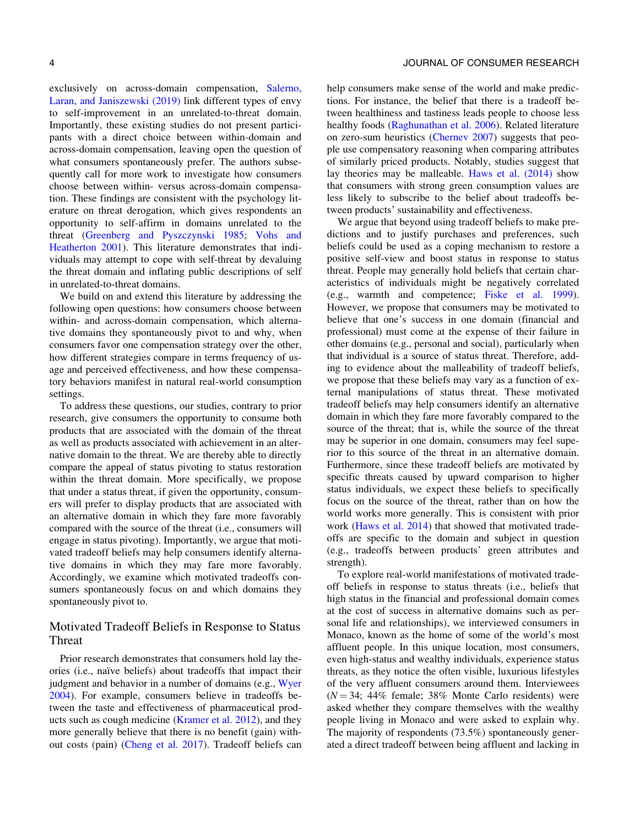exclusively on across-domain compensation, [Salerno,](#page-23-0) [Laran, and Janiszewski \(2019\)](#page-23-0) link different types of envy to self-improvement in an unrelated-to-threat domain. Importantly, these existing studies do not present participants with a direct choice between within-domain and across-domain compensation, leaving open the question of what consumers spontaneously prefer. The authors subsequently call for more work to investigate how consumers choose between within- versus across-domain compensation. These findings are consistent with the psychology literature on threat derogation, which gives respondents an opportunity to self-affirm in domains unrelated to the threat [\(Greenberg and Pyszczynski 1985](#page-22-0); [Vohs and](#page-23-0) [Heatherton 2001\)](#page-23-0). This literature demonstrates that individuals may attempt to cope with self-threat by devaluing the threat domain and inflating public descriptions of self in unrelated-to-threat domains.

We build on and extend this literature by addressing the following open questions: how consumers choose between within- and across-domain compensation, which alternative domains they spontaneously pivot to and why, when consumers favor one compensation strategy over the other, how different strategies compare in terms frequency of usage and perceived effectiveness, and how these compensatory behaviors manifest in natural real-world consumption settings.

To address these questions, our studies, contrary to prior research, give consumers the opportunity to consume both products that are associated with the domain of the threat as well as products associated with achievement in an alternative domain to the threat. We are thereby able to directly compare the appeal of status pivoting to status restoration within the threat domain. More specifically, we propose that under a status threat, if given the opportunity, consumers will prefer to display products that are associated with an alternative domain in which they fare more favorably compared with the source of the threat (i.e., consumers will engage in status pivoting). Importantly, we argue that motivated tradeoff beliefs may help consumers identify alternative domains in which they may fare more favorably. Accordingly, we examine which motivated tradeoffs consumers spontaneously focus on and which domains they spontaneously pivot to.

### Motivated Tradeoff Beliefs in Response to Status Threat

Prior research demonstrates that consumers hold lay theories (i.e., naïve beliefs) about tradeoffs that impact their judgment and behavior in a number of domains (e.g., [Wyer](#page-24-0) [2004\)](#page-24-0). For example, consumers believe in tradeoffs between the taste and effectiveness of pharmaceutical products such as cough medicine [\(Kramer et al. 2012\)](#page-22-0), and they more generally believe that there is no benefit (gain) without costs (pain) [\(Cheng et al. 2017\)](#page-21-0). Tradeoff beliefs can

help consumers make sense of the world and make predictions. For instance, the belief that there is a tradeoff between healthiness and tastiness leads people to choose less healthy foods ([Raghunathan et al. 2006\)](#page-23-0). Related literature on zero-sum heuristics ([Chernev 2007](#page-22-0)) suggests that people use compensatory reasoning when comparing attributes of similarly priced products. Notably, studies suggest that lay theories may be malleable. [Haws et al. \(2014\)](#page-22-0) show that consumers with strong green consumption values are less likely to subscribe to the belief about tradeoffs between products' sustainability and effectiveness.

We argue that beyond using tradeoff beliefs to make predictions and to justify purchases and preferences, such beliefs could be used as a coping mechanism to restore a positive self-view and boost status in response to status threat. People may generally hold beliefs that certain characteristics of individuals might be negatively correlated (e.g., warmth and competence; [Fiske et al. 1999\)](#page-22-0). However, we propose that consumers may be motivated to believe that one's success in one domain (financial and professional) must come at the expense of their failure in other domains (e.g., personal and social), particularly when that individual is a source of status threat. Therefore, adding to evidence about the malleability of tradeoff beliefs, we propose that these beliefs may vary as a function of external manipulations of status threat. These motivated tradeoff beliefs may help consumers identify an alternative domain in which they fare more favorably compared to the source of the threat; that is, while the source of the threat may be superior in one domain, consumers may feel superior to this source of the threat in an alternative domain. Furthermore, since these tradeoff beliefs are motivated by specific threats caused by upward comparison to higher status individuals, we expect these beliefs to specifically focus on the source of the threat, rather than on how the world works more generally. This is consistent with prior work ([Haws et al. 2014\)](#page-22-0) that showed that motivated tradeoffs are specific to the domain and subject in question (e.g., tradeoffs between products' green attributes and strength).

To explore real-world manifestations of motivated tradeoff beliefs in response to status threats (i.e., beliefs that high status in the financial and professional domain comes at the cost of success in alternative domains such as personal life and relationships), we interviewed consumers in Monaco, known as the home of some of the world's most affluent people. In this unique location, most consumers, even high-status and wealthy individuals, experience status threats, as they notice the often visible, luxurious lifestyles of the very affluent consumers around them. Interviewees  $(N = 34; 44\%$  female; 38% Monte Carlo residents) were asked whether they compare themselves with the wealthy people living in Monaco and were asked to explain why. The majority of respondents (73.5%) spontaneously generated a direct tradeoff between being affluent and lacking in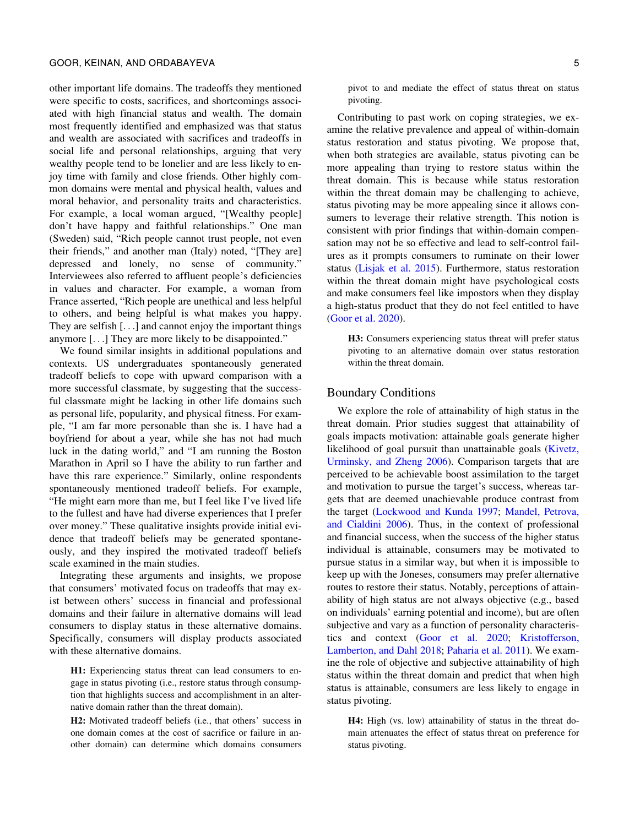#### GOOR, KEINAN, AND ORDABAYEVA 5

other important life domains. The tradeoffs they mentioned were specific to costs, sacrifices, and shortcomings associated with high financial status and wealth. The domain most frequently identified and emphasized was that status and wealth are associated with sacrifices and tradeoffs in social life and personal relationships, arguing that very wealthy people tend to be lonelier and are less likely to enjoy time with family and close friends. Other highly common domains were mental and physical health, values and moral behavior, and personality traits and characteristics. For example, a local woman argued, "[Wealthy people] don't have happy and faithful relationships." One man (Sweden) said, "Rich people cannot trust people, not even their friends," and another man (Italy) noted, "[They are] depressed and lonely, no sense of community." Interviewees also referred to affluent people's deficiencies in values and character. For example, a woman from France asserted, "Rich people are unethical and less helpful to others, and being helpful is what makes you happy. They are selfish [...] and cannot enjoy the important things anymore [...] They are more likely to be disappointed."

We found similar insights in additional populations and contexts. US undergraduates spontaneously generated tradeoff beliefs to cope with upward comparison with a more successful classmate, by suggesting that the successful classmate might be lacking in other life domains such as personal life, popularity, and physical fitness. For example, "I am far more personable than she is. I have had a boyfriend for about a year, while she has not had much luck in the dating world," and "I am running the Boston Marathon in April so I have the ability to run farther and have this rare experience." Similarly, online respondents spontaneously mentioned tradeoff beliefs. For example, "He might earn more than me, but I feel like I've lived life to the fullest and have had diverse experiences that I prefer over money." These qualitative insights provide initial evidence that tradeoff beliefs may be generated spontaneously, and they inspired the motivated tradeoff beliefs scale examined in the main studies.

Integrating these arguments and insights, we propose that consumers' motivated focus on tradeoffs that may exist between others' success in financial and professional domains and their failure in alternative domains will lead consumers to display status in these alternative domains. Specifically, consumers will display products associated with these alternative domains.

H1: Experiencing status threat can lead consumers to engage in status pivoting (i.e., restore status through consumption that highlights success and accomplishment in an alternative domain rather than the threat domain).

H2: Motivated tradeoff beliefs (i.e., that others' success in one domain comes at the cost of sacrifice or failure in another domain) can determine which domains consumers

Contributing to past work on coping strategies, we examine the relative prevalence and appeal of within-domain status restoration and status pivoting. We propose that, when both strategies are available, status pivoting can be more appealing than trying to restore status within the threat domain. This is because while status restoration within the threat domain may be challenging to achieve, status pivoting may be more appealing since it allows consumers to leverage their relative strength. This notion is consistent with prior findings that within-domain compensation may not be so effective and lead to self-control failures as it prompts consumers to ruminate on their lower status ([Lisjak et al. 2015](#page-23-0)). Furthermore, status restoration within the threat domain might have psychological costs and make consumers feel like impostors when they display a high-status product that they do not feel entitled to have ([Goor et al. 2020](#page-22-0)).

H3: Consumers experiencing status threat will prefer status pivoting to an alternative domain over status restoration within the threat domain.

### Boundary Conditions

We explore the role of attainability of high status in the threat domain. Prior studies suggest that attainability of goals impacts motivation: attainable goals generate higher likelihood of goal pursuit than unattainable goals [\(Kivetz,](#page-22-0) [Urminsky, and Zheng 2006\)](#page-22-0). Comparison targets that are perceived to be achievable boost assimilation to the target and motivation to pursue the target's success, whereas targets that are deemed unachievable produce contrast from the target ([Lockwood and Kunda 1997;](#page-23-0) [Mandel, Petrova,](#page-23-0) [and Cialdini 2006\)](#page-23-0). Thus, in the context of professional and financial success, when the success of the higher status individual is attainable, consumers may be motivated to pursue status in a similar way, but when it is impossible to keep up with the Joneses, consumers may prefer alternative routes to restore their status. Notably, perceptions of attainability of high status are not always objective (e.g., based on individuals' earning potential and income), but are often subjective and vary as a function of personality characteristics and context [\(Goor et al. 2020](#page-22-0); [Kristofferson,](#page-22-0) [Lamberton, and Dahl 2018;](#page-22-0) [Paharia et al. 2011](#page-23-0)). We examine the role of objective and subjective attainability of high status within the threat domain and predict that when high status is attainable, consumers are less likely to engage in status pivoting.

H4: High (vs. low) attainability of status in the threat domain attenuates the effect of status threat on preference for status pivoting.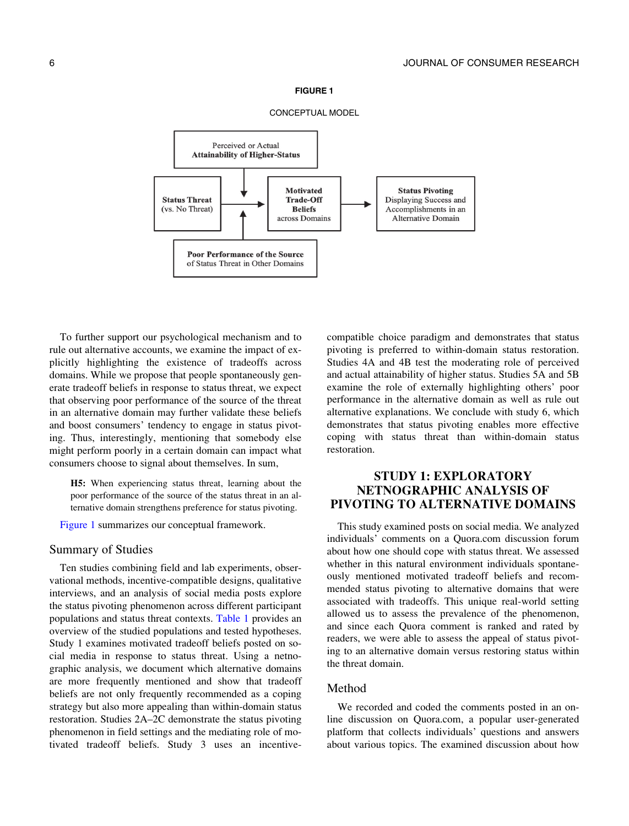

To further support our psychological mechanism and to rule out alternative accounts, we examine the impact of explicitly highlighting the existence of tradeoffs across domains. While we propose that people spontaneously generate tradeoff beliefs in response to status threat, we expect that observing poor performance of the source of the threat in an alternative domain may further validate these beliefs and boost consumers' tendency to engage in status pivoting. Thus, interestingly, mentioning that somebody else might perform poorly in a certain domain can impact what consumers choose to signal about themselves. In sum,

H5: When experiencing status threat, learning about the poor performance of the source of the status threat in an alternative domain strengthens preference for status pivoting.

Figure 1 summarizes our conceptual framework.

### Summary of Studies

Ten studies combining field and lab experiments, observational methods, incentive-compatible designs, qualitative interviews, and an analysis of social media posts explore the status pivoting phenomenon across different participant populations and status threat contexts. Table 1 provides an overview of the studied populations and tested hypotheses. Study 1 examines motivated tradeoff beliefs posted on social media in response to status threat. Using a netnographic analysis, we document which alternative domains are more frequently mentioned and show that tradeoff beliefs are not only frequently recommended as a coping strategy but also more appealing than within-domain status restoration. Studies 2A–2C demonstrate the status pivoting phenomenon in field settings and the mediating role of motivated tradeoff beliefs. Study 3 uses an incentivecompatible choice paradigm and demonstrates that status pivoting is preferred to within-domain status restoration. Studies 4A and 4B test the moderating role of perceived and actual attainability of higher status. Studies 5A and 5B examine the role of externally highlighting others' poor performance in the alternative domain as well as rule out alternative explanations. We conclude with study 6, which demonstrates that status pivoting enables more effective coping with status threat than within-domain status restoration.

### STUDY 1: EXPLORATORY NETNOGRAPHIC ANALYSIS OF PIVOTING TO ALTERNATIVE DOMAINS

This study examined posts on social media. We analyzed individuals' comments on a Quora.com discussion forum about how one should cope with status threat. We assessed whether in this natural environment individuals spontaneously mentioned motivated tradeoff beliefs and recommended status pivoting to alternative domains that were associated with tradeoffs. This unique real-world setting allowed us to assess the prevalence of the phenomenon, and since each Quora comment is ranked and rated by readers, we were able to assess the appeal of status pivoting to an alternative domain versus restoring status within the threat domain.

### Method

We recorded and coded the comments posted in an online discussion on Quora.com, a popular user-generated platform that collects individuals' questions and answers about various topics. The examined discussion about how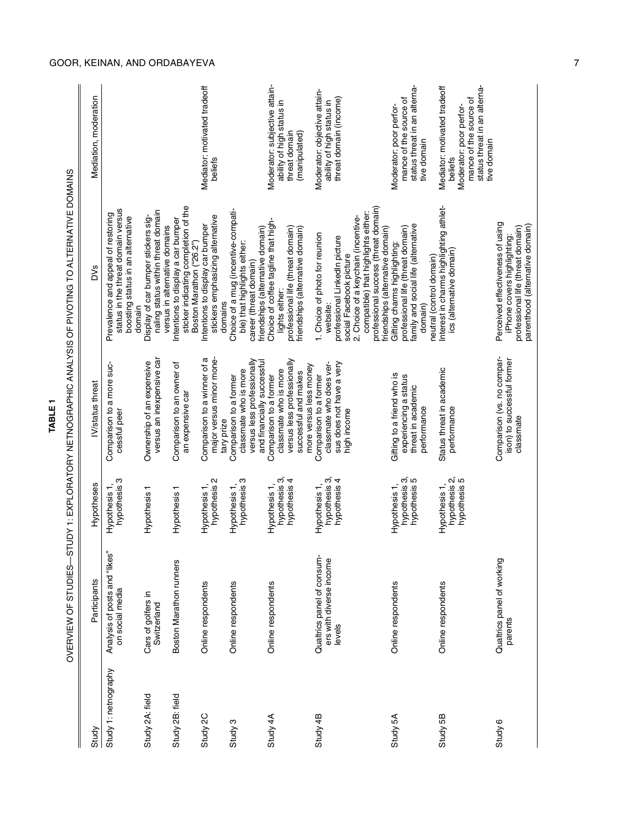OVERVIEW OF STUDIES-STUDY 1: EXPLORATORY NETNOGRAPHIC ANALYSIS OF PIVOTING TO ALTERNATIVE DOMAINS OVERVIEW OF STUDIES—STUDY 1: EXPLORATORY NETNOGRAPHIC ANALYSIS OF PIVOTING TO ALTERNATIVE DOMAINS

| Study                | Participants                                                    | Hypotheses                                     | <b>N</b> /status threat                                                                                                         | DV <sub>S</sub>                                                                                                                                                                                                                                                  | Mediation, moderation                                                                                                                       |
|----------------------|-----------------------------------------------------------------|------------------------------------------------|---------------------------------------------------------------------------------------------------------------------------------|------------------------------------------------------------------------------------------------------------------------------------------------------------------------------------------------------------------------------------------------------------------|---------------------------------------------------------------------------------------------------------------------------------------------|
| Study 1: netnography | Analysis of posts and "likes"<br>on social media                | hypothesis 3<br>Hypothesis 1,                  | Comparison to a more suc-<br>cessful peer                                                                                       | status in the threat domain versus<br>Prevalence and appeal of restoring<br>boosting status in an alternative<br>domain                                                                                                                                          |                                                                                                                                             |
| Study 2A: field      | Cars of golfers in<br>Switzerland                               | Hypothesis 1                                   | versus an inexpensive car<br>Ownership of an expensive                                                                          | naling status within threat domain<br>Display of car bumper stickers sig-<br>versus in alternative domains                                                                                                                                                       |                                                                                                                                             |
| Study 2B: field      | <b>Boston Marathon runners</b>                                  | Hypothesis 1                                   | Comparison to an owner of<br>an expensive car                                                                                   | sticker indicating completion of the<br>Intentions to display a car bumper<br>Boston Marathon ("26.2")                                                                                                                                                           |                                                                                                                                             |
| Study 2C             | Online respondents                                              | hypothesis 2<br>Hypothesis 1,                  | major versus minor mone-<br>Comparison to a winner of a<br>tary prize                                                           | stickers emphasizing alternative<br>Intentions to display car bumper<br>domains                                                                                                                                                                                  | Mediator: motivated tradeoff<br>beliefs                                                                                                     |
| Study 3              | Online respondents                                              | hypothesis 3<br>Hypothesis 1,                  | versus less professionally<br>and financially successful<br>classmate who is more<br>Comparison to a former                     | Choice of a mug (incentive-compati-<br>friendships (alternative domain)<br>ble) that highlights either:<br>career (threat domain)                                                                                                                                |                                                                                                                                             |
| Study 4A             | Online respondents                                              | hypothesis 3,<br>hypothesis 4<br>Hypothesis 1, | versus less professionally<br>more versus less money<br>classmate who is more<br>successful and makes<br>Comparison to a former | Choice of coffee tagline that high-<br>professional life (threat domain)<br>friendships (alternative domain)<br>lights either:                                                                                                                                   | Moderator: subjective attain-<br>ability of high status in<br>threat domain<br>(manipulated)                                                |
| Study 4B             | Qualtrics panel of consum-<br>ers with diverse income<br>levels | hypothesis 3,<br>hypothesis 4<br>Hypothesis 1, | classmate who does ver-<br>sus does not have a very<br>Comparison to a former<br>high income                                    | professional success (threat domain)<br>compatible) that highlights either:<br>2. Choice of a keychain (incentive-<br>friendships (alternative domain)<br>1. Choice of photo for reunion<br>professional LinkedIn picture<br>social Facebook picture<br>website: | Moderator: objective attain-<br>threat domain (income)<br>ability of high status in                                                         |
| Study 5A             | Online respondents                                              | Hypothesis 1,<br>hypothesis 3,<br>hypothesis 5 | Gifting to a friend who is<br>experiencing a status<br>threat in academic<br>performance                                        | family and social life (alternative<br>professional life (threat domain)<br>Gifting charms highlighting:<br>neutral (control domain)<br>domain)                                                                                                                  | status threat in an alterna-<br>mance of the source of<br>Moderator: poor perfor-<br>tive domain                                            |
| Study 5B             | Online respondents                                              | hypothesis 2,<br>hypothesis 5<br>Hypothesis 1, | Status threat in academic<br>performance                                                                                        | nterest in charms highlighting athlet-<br>ics (alternative domain)                                                                                                                                                                                               | status threat in an alterna-<br>Mediator: motivated tradeoff<br>mance of the source of<br>Moderator: poor perfor-<br>tive domain<br>beliefs |
| Study 6              | Qualtrics panel of working<br>parents                           |                                                | Comparison (vs. no compar-<br>ison) to successful former<br>classmate                                                           | Perceived effectiveness of using<br>parenthood (alternative domain)<br>professional life (threat domain)<br>iPhone covers highlighting:                                                                                                                          |                                                                                                                                             |

## GOOR, KEINAN, AND ORDABAYEVA 7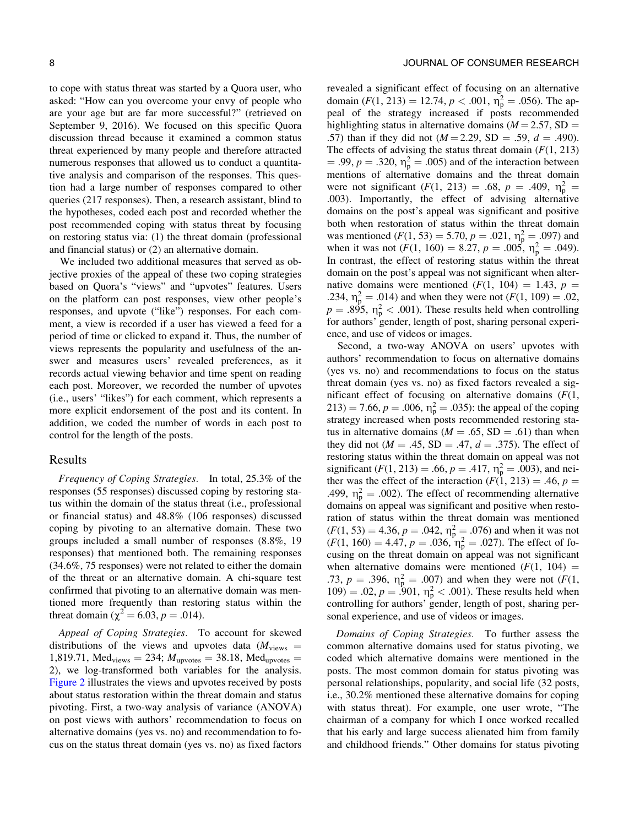to cope with status threat was started by a Quora user, who asked: "How can you overcome your envy of people who are your age but are far more successful?" (retrieved on September 9, 2016). We focused on this specific Quora discussion thread because it examined a common status threat experienced by many people and therefore attracted numerous responses that allowed us to conduct a quantitative analysis and comparison of the responses. This question had a large number of responses compared to other queries (217 responses). Then, a research assistant, blind to the hypotheses, coded each post and recorded whether the post recommended coping with status threat by focusing on restoring status via: (1) the threat domain (professional and financial status) or (2) an alternative domain.

We included two additional measures that served as objective proxies of the appeal of these two coping strategies based on Quora's "views" and "upvotes" features. Users on the platform can post responses, view other people's responses, and upvote ("like") responses. For each comment, a view is recorded if a user has viewed a feed for a period of time or clicked to expand it. Thus, the number of views represents the popularity and usefulness of the answer and measures users' revealed preferences, as it records actual viewing behavior and time spent on reading each post. Moreover, we recorded the number of upvotes (i.e., users' "likes") for each comment, which represents a more explicit endorsement of the post and its content. In addition, we coded the number of words in each post to control for the length of the posts.

#### Results

Frequency of Coping Strategies. In total, 25.3% of the responses (55 responses) discussed coping by restoring status within the domain of the status threat (i.e., professional or financial status) and 48.8% (106 responses) discussed coping by pivoting to an alternative domain. These two groups included a small number of responses (8.8%, 19 responses) that mentioned both. The remaining responses (34.6%, 75 responses) were not related to either the domain of the threat or an alternative domain. A chi-square test confirmed that pivoting to an alternative domain was mentioned more frequently than restoring status within the threat domain ( $\chi^2 = 6.03, p = .014$ ).

Appeal of Coping Strategies. To account for skewed distributions of the views and upvotes data ( $M_{\text{views}} =$ 1,819.71, Med<sub>views</sub> = 234;  $M_{\text{upvotes}}$  = 38.18, Med<sub>upvotes</sub> = 2), we log-transformed both variables for the analysis. [Figure 2](#page-8-0) illustrates the views and upvotes received by posts about status restoration within the threat domain and status pivoting. First, a two-way analysis of variance (ANOVA) on post views with authors' recommendation to focus on alternative domains (yes vs. no) and recommendation to focus on the status threat domain (yes vs. no) as fixed factors

revealed a significant effect of focusing on an alternative domain  $(F(1, 213) = 12.74, p < .001, \eta_{p}^{2} = .056)$ . The appeal of the strategy increased if posts recommended highlighting status in alternative domains ( $M = 2.57$ , SD = .57) than if they did not  $(M = 2.29, SD = .59, d = .490)$ . The effects of advising the status threat domain  $(F(1, 213))$  $= .99, p = .320, \eta_{\rm p}^2 = .005$  and of the interaction between mentions of alternative domains and the threat domain were not significant  $(F(1, 213) = .68, p = .409, \eta_p^2 = .409)$ .003). Importantly, the effect of advising alternative domains on the post's appeal was significant and positive both when restoration of status within the threat domain was mentioned  $(F(1, 53) = 5.70, p = .021, \eta_{p}^{2} = .097)$  and when it was not  $(F(1, 160) = 8.27, p = .005, \eta_p^2 = .049)$ . In contrast, the effect of restoring status within the threat domain on the post's appeal was not significant when alternative domains were mentioned  $(F(1, 104) = 1.43, p =$ .234,  $\eta_p^2 = .014$ ) and when they were not  $(F(1, 109) = .02$ ,  $p = .895$ ,  $\eta_p^2 < .001$ ). These results held when controlling for authors' gender, length of post, sharing personal experience, and use of videos or images.

Second, a two-way ANOVA on users' upvotes with authors' recommendation to focus on alternative domains (yes vs. no) and recommendations to focus on the status threat domain (yes vs. no) as fixed factors revealed a significant effect of focusing on alternative domains  $(F(1,$  $213) = 7.66$ ,  $p = .006$ ,  $\eta_p^2 = .035$ ): the appeal of the coping strategy increased when posts recommended restoring status in alternative domains ( $M = .65$ , SD = .61) than when they did not ( $M = .45$ , SD = .47,  $d = .375$ ). The effect of restoring status within the threat domain on appeal was not significant ( $F(1, 213) = .66$ ,  $p = .417$ ,  $\eta_p^2 = .003$ ), and neither was the effect of the interaction  $(F(1, 213) = .46, p =$ .499,  $\eta_p^2 = .002$ ). The effect of recommending alternative domains on appeal was significant and positive when restoration of status within the threat domain was mentioned  $(F(1, 53) = 4.36, p = .042, \eta_{\rm p}^2 = .076)$  and when it was not  $(F(1, 160) = 4.47, p = .036, \eta_p^2 = .027)$ . The effect of focusing on the threat domain on appeal was not significant when alternative domains were mentioned  $(F(1, 104))$ .73,  $p = .396$ ,  $\eta_p^2 = .007$ ) and when they were not ( $F(1, 0)$ )  $109$ ) = .02,  $p = .901$ ,  $\eta_p^2 < .001$ ). These results held when controlling for authors' gender, length of post, sharing personal experience, and use of videos or images.

Domains of Coping Strategies. To further assess the common alternative domains used for status pivoting, we coded which alternative domains were mentioned in the posts. The most common domain for status pivoting was personal relationships, popularity, and social life (32 posts, i.e., 30.2% mentioned these alternative domains for coping with status threat). For example, one user wrote, "The chairman of a company for which I once worked recalled that his early and large success alienated him from family and childhood friends." Other domains for status pivoting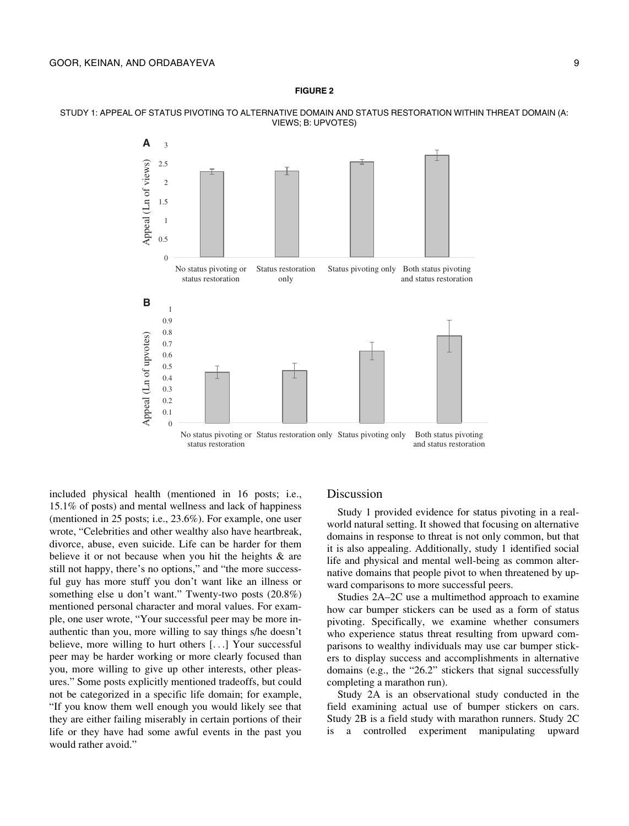<span id="page-8-0"></span>STUDY 1: APPEAL OF STATUS PIVOTING TO ALTERNATIVE DOMAIN AND STATUS RESTORATION WITHIN THREAT DOMAIN (A: VIEWS; B: UPVOTES)



included physical health (mentioned in 16 posts; i.e., 15.1% of posts) and mental wellness and lack of happiness (mentioned in 25 posts; i.e., 23.6%). For example, one user wrote, "Celebrities and other wealthy also have heartbreak, divorce, abuse, even suicide. Life can be harder for them believe it or not because when you hit the heights & are still not happy, there's no options," and "the more successful guy has more stuff you don't want like an illness or something else u don't want." Twenty-two posts (20.8%) mentioned personal character and moral values. For example, one user wrote, "Your successful peer may be more inauthentic than you, more willing to say things s/he doesn't believe, more willing to hurt others [...] Your successful peer may be harder working or more clearly focused than you, more willing to give up other interests, other pleasures." Some posts explicitly mentioned tradeoffs, but could not be categorized in a specific life domain; for example, "If you know them well enough you would likely see that they are either failing miserably in certain portions of their life or they have had some awful events in the past you would rather avoid."

### Discussion

Study 1 provided evidence for status pivoting in a realworld natural setting. It showed that focusing on alternative domains in response to threat is not only common, but that it is also appealing. Additionally, study 1 identified social life and physical and mental well-being as common alternative domains that people pivot to when threatened by upward comparisons to more successful peers.

Studies 2A–2C use a multimethod approach to examine how car bumper stickers can be used as a form of status pivoting. Specifically, we examine whether consumers who experience status threat resulting from upward comparisons to wealthy individuals may use car bumper stickers to display success and accomplishments in alternative domains (e.g., the "26.2" stickers that signal successfully completing a marathon run).

Study 2A is an observational study conducted in the field examining actual use of bumper stickers on cars. Study 2B is a field study with marathon runners. Study 2C is a controlled experiment manipulating upward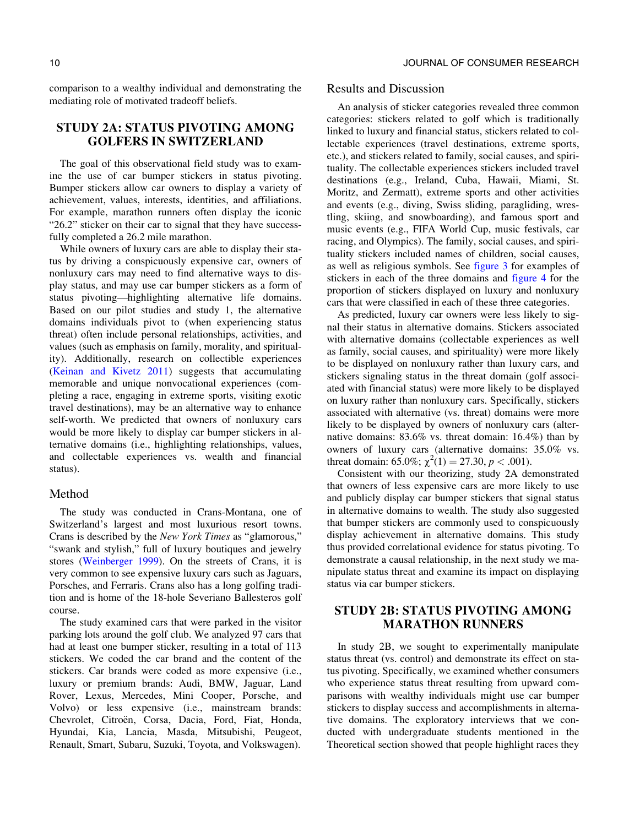comparison to a wealthy individual and demonstrating the mediating role of motivated tradeoff beliefs.

### STUDY 2A: STATUS PIVOTING AMONG GOLFERS IN SWITZERLAND

The goal of this observational field study was to examine the use of car bumper stickers in status pivoting. Bumper stickers allow car owners to display a variety of achievement, values, interests, identities, and affiliations. For example, marathon runners often display the iconic "26.2" sticker on their car to signal that they have successfully completed a 26.2 mile marathon.

While owners of luxury cars are able to display their status by driving a conspicuously expensive car, owners of nonluxury cars may need to find alternative ways to display status, and may use car bumper stickers as a form of status pivoting—highlighting alternative life domains. Based on our pilot studies and study 1, the alternative domains individuals pivot to (when experiencing status threat) often include personal relationships, activities, and values (such as emphasis on family, morality, and spirituality). Additionally, research on collectible experiences [\(Keinan and Kivetz 2011\)](#page-22-0) suggests that accumulating memorable and unique nonvocational experiences (completing a race, engaging in extreme sports, visiting exotic travel destinations), may be an alternative way to enhance self-worth. We predicted that owners of nonluxury cars would be more likely to display car bumper stickers in alternative domains (i.e., highlighting relationships, values, and collectable experiences vs. wealth and financial status).

### Method

The study was conducted in Crans-Montana, one of Switzerland's largest and most luxurious resort towns. Crans is described by the New York Times as "glamorous," "swank and stylish," full of luxury boutiques and jewelry stores [\(Weinberger 1999](#page-24-0)). On the streets of Crans, it is very common to see expensive luxury cars such as Jaguars, Porsches, and Ferraris. Crans also has a long golfing tradition and is home of the 18-hole Severiano Ballesteros golf course.

The study examined cars that were parked in the visitor parking lots around the golf club. We analyzed 97 cars that had at least one bumper sticker, resulting in a total of 113 stickers. We coded the car brand and the content of the stickers. Car brands were coded as more expensive (i.e., luxury or premium brands: Audi, BMW, Jaguar, Land Rover, Lexus, Mercedes, Mini Cooper, Porsche, and Volvo) or less expensive (i.e., mainstream brands: Chevrolet, Citroën, Corsa, Dacia, Ford, Fiat, Honda, Hyundai, Kia, Lancia, Masda, Mitsubishi, Peugeot, Renault, Smart, Subaru, Suzuki, Toyota, and Volkswagen).

#### Results and Discussion

An analysis of sticker categories revealed three common categories: stickers related to golf which is traditionally linked to luxury and financial status, stickers related to collectable experiences (travel destinations, extreme sports, etc.), and stickers related to family, social causes, and spirituality. The collectable experiences stickers included travel destinations (e.g., Ireland, Cuba, Hawaii, Miami, St. Moritz, and Zermatt), extreme sports and other activities and events (e.g., diving, Swiss sliding, paragliding, wrestling, skiing, and snowboarding), and famous sport and music events (e.g., FIFA World Cup, music festivals, car racing, and Olympics). The family, social causes, and spirituality stickers included names of children, social causes, as well as religious symbols. See [figure 3](#page-10-0) for examples of stickers in each of the three domains and [figure 4](#page-10-0) for the proportion of stickers displayed on luxury and nonluxury cars that were classified in each of these three categories.

As predicted, luxury car owners were less likely to signal their status in alternative domains. Stickers associated with alternative domains (collectable experiences as well as family, social causes, and spirituality) were more likely to be displayed on nonluxury rather than luxury cars, and stickers signaling status in the threat domain (golf associated with financial status) were more likely to be displayed on luxury rather than nonluxury cars. Specifically, stickers associated with alternative (vs. threat) domains were more likely to be displayed by owners of nonluxury cars (alternative domains: 83.6% vs. threat domain: 16.4%) than by owners of luxury cars (alternative domains: 35.0% vs. threat domain: 65.0%;  $\chi^2(1) = 27.30, p < .001$ ).

Consistent with our theorizing, study 2A demonstrated that owners of less expensive cars are more likely to use and publicly display car bumper stickers that signal status in alternative domains to wealth. The study also suggested that bumper stickers are commonly used to conspicuously display achievement in alternative domains. This study thus provided correlational evidence for status pivoting. To demonstrate a causal relationship, in the next study we manipulate status threat and examine its impact on displaying status via car bumper stickers.

### STUDY 2B: STATUS PIVOTING AMONG MARATHON RUNNERS

In study 2B, we sought to experimentally manipulate status threat (vs. control) and demonstrate its effect on status pivoting. Specifically, we examined whether consumers who experience status threat resulting from upward comparisons with wealthy individuals might use car bumper stickers to display success and accomplishments in alternative domains. The exploratory interviews that we conducted with undergraduate students mentioned in the Theoretical section showed that people highlight races they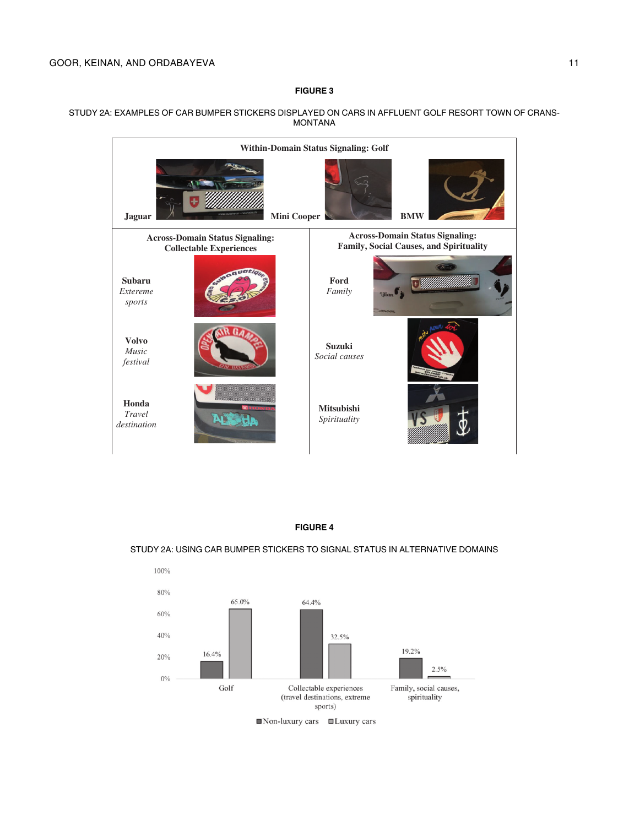#### <span id="page-10-0"></span>STUDY 2A: EXAMPLES OF CAR BUMPER STICKERS DISPLAYED ON CARS IN AFFLUENT GOLF RESORT TOWN OF CRANS-MONTANA



#### FIGURE 4

#### STUDY 2A: USING CAR BUMPER STICKERS TO SIGNAL STATUS IN ALTERNATIVE DOMAINS

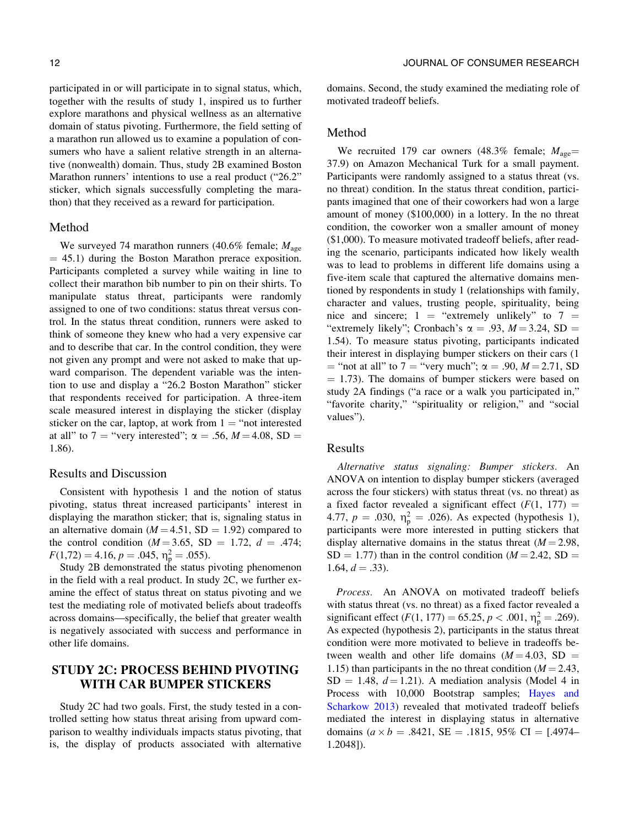explore marathons and physical wellness as an alternative domain of status pivoting. Furthermore, the field setting of a marathon run allowed us to examine a population of consumers who have a salient relative strength in an alternative (nonwealth) domain. Thus, study 2B examined Boston Marathon runners' intentions to use a real product ("26.2" sticker, which signals successfully completing the marathon) that they received as a reward for participation.

#### Method

We surveyed 74 marathon runners (40.6% female;  $M_{\text{age}}$  $=$  45.1) during the Boston Marathon prerace exposition. Participants completed a survey while waiting in line to collect their marathon bib number to pin on their shirts. To manipulate status threat, participants were randomly assigned to one of two conditions: status threat versus control. In the status threat condition, runners were asked to think of someone they knew who had a very expensive car and to describe that car. In the control condition, they were not given any prompt and were not asked to make that upward comparison. The dependent variable was the intention to use and display a "26.2 Boston Marathon" sticker that respondents received for participation. A three-item scale measured interest in displaying the sticker (display sticker on the car, laptop, at work from  $1 =$  "not interested at all" to 7 = "very interested";  $\alpha = .56$ ,  $M = 4.08$ , SD = 1.86).

#### Results and Discussion

Consistent with hypothesis 1 and the notion of status pivoting, status threat increased participants' interest in displaying the marathon sticker; that is, signaling status in an alternative domain ( $M = 4.51$ , SD = 1.92) compared to the control condition ( $M = 3.65$ , SD = 1.72,  $d = .474$ ;  $F(1,72) = 4.16, p = .045, \eta_p^2 = .055$ .

Study 2B demonstrated the status pivoting phenomenon in the field with a real product. In study 2C, we further examine the effect of status threat on status pivoting and we test the mediating role of motivated beliefs about tradeoffs across domains—specifically, the belief that greater wealth is negatively associated with success and performance in other life domains.

### STUDY 2C: PROCESS BEHIND PIVOTING WITH CAR BUMPER STICKERS

Study 2C had two goals. First, the study tested in a controlled setting how status threat arising from upward comparison to wealthy individuals impacts status pivoting, that is, the display of products associated with alternative domains. Second, the study examined the mediating role of motivated tradeoff beliefs.

#### Method

We recruited 179 car owners (48.3% female;  $M_{\text{age}} =$ 37.9) on Amazon Mechanical Turk for a small payment. Participants were randomly assigned to a status threat (vs. no threat) condition. In the status threat condition, participants imagined that one of their coworkers had won a large amount of money (\$100,000) in a lottery. In the no threat condition, the coworker won a smaller amount of money (\$1,000). To measure motivated tradeoff beliefs, after reading the scenario, participants indicated how likely wealth was to lead to problems in different life domains using a five-item scale that captured the alternative domains mentioned by respondents in study 1 (relationships with family, character and values, trusting people, spirituality, being nice and sincere;  $1 =$  "extremely unlikely" to  $7 =$ "extremely likely"; Cronbach's  $\alpha = .93$ ,  $M = 3.24$ , SD = 1.54). To measure status pivoting, participants indicated their interest in displaying bumper stickers on their cars (1  $=$  "not at all" to 7 = "very much";  $\alpha = .90$ ,  $M = 2.71$ , SD  $= 1.73$ ). The domains of bumper stickers were based on study 2A findings ("a race or a walk you participated in," "favorite charity," "spirituality or religion," and "social values").

#### Results

Alternative status signaling: Bumper stickers. An ANOVA on intention to display bumper stickers (averaged across the four stickers) with status threat (vs. no threat) as a fixed factor revealed a significant effect  $(F(1, 177))$  = 4.77,  $p = .030$ ,  $\eta_p^2 = .026$ ). As expected (hypothesis 1), participants were more interested in putting stickers that display alternative domains in the status threat  $(M = 2.98$ ,  $SD = 1.77$ ) than in the control condition ( $M = 2.42$ , SD = 1.64,  $d = .33$ ).

Process. An ANOVA on motivated tradeoff beliefs with status threat (vs. no threat) as a fixed factor revealed a significant effect  $(F(1, 177) = 65.25, p < .001, \eta_{p}^{2} = .269)$ . As expected (hypothesis 2), participants in the status threat condition were more motivated to believe in tradeoffs between wealth and other life domains  $(M = 4.03, SD =$ 1.15) than participants in the no threat condition ( $M = 2.43$ ,  $SD = 1.48$ ,  $d = 1.21$ ). A mediation analysis (Model 4 in Process with 10,000 Bootstrap samples; [Hayes and](#page-22-0) [Scharkow 2013](#page-22-0)) revealed that motivated tradeoff beliefs mediated the interest in displaying status in alternative domains  $(a \times b = .8421, SE = .1815, 95\% \text{ CI} = [.4974-$ 1.2048]).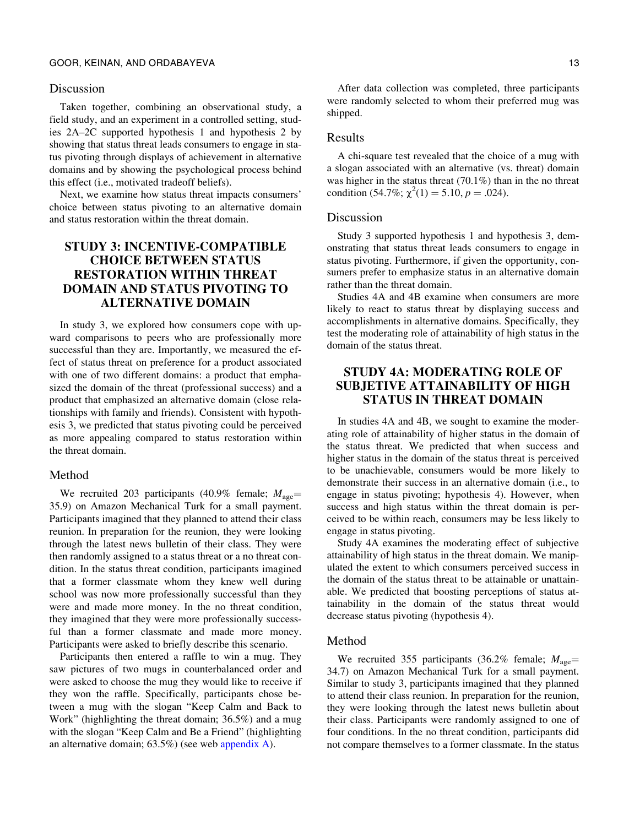#### Discussion

Taken together, combining an observational study, a field study, and an experiment in a controlled setting, studies 2A–2C supported hypothesis 1 and hypothesis 2 by showing that status threat leads consumers to engage in status pivoting through displays of achievement in alternative domains and by showing the psychological process behind this effect (i.e., motivated tradeoff beliefs).

Next, we examine how status threat impacts consumers' choice between status pivoting to an alternative domain and status restoration within the threat domain.

## STUDY 3: INCENTIVE-COMPATIBLE CHOICE BETWEEN STATUS RESTORATION WITHIN THREAT DOMAIN AND STATUS PIVOTING TO ALTERNATIVE DOMAIN

In study 3, we explored how consumers cope with upward comparisons to peers who are professionally more successful than they are. Importantly, we measured the effect of status threat on preference for a product associated with one of two different domains: a product that emphasized the domain of the threat (professional success) and a product that emphasized an alternative domain (close relationships with family and friends). Consistent with hypothesis 3, we predicted that status pivoting could be perceived as more appealing compared to status restoration within the threat domain.

#### Method

We recruited 203 participants (40.9% female;  $M_{\text{age}} =$ 35.9) on Amazon Mechanical Turk for a small payment. Participants imagined that they planned to attend their class reunion. In preparation for the reunion, they were looking through the latest news bulletin of their class. They were then randomly assigned to a status threat or a no threat condition. In the status threat condition, participants imagined that a former classmate whom they knew well during school was now more professionally successful than they were and made more money. In the no threat condition, they imagined that they were more professionally successful than a former classmate and made more money. Participants were asked to briefly describe this scenario.

Participants then entered a raffle to win a mug. They saw pictures of two mugs in counterbalanced order and were asked to choose the mug they would like to receive if they won the raffle. Specifically, participants chose between a mug with the slogan "Keep Calm and Back to Work" (highlighting the threat domain; 36.5%) and a mug with the slogan "Keep Calm and Be a Friend" (highlighting an alternative domain; 63.5%) (see web appendix A).

After data collection was completed, three participants were randomly selected to whom their preferred mug was shipped.

#### Results

A chi-square test revealed that the choice of a mug with a slogan associated with an alternative (vs. threat) domain was higher in the status threat (70.1%) than in the no threat condition (54.7%;  $\chi^2(1) = 5.10, p = .024$ ).

#### Discussion

Study 3 supported hypothesis 1 and hypothesis 3, demonstrating that status threat leads consumers to engage in status pivoting. Furthermore, if given the opportunity, consumers prefer to emphasize status in an alternative domain rather than the threat domain.

Studies 4A and 4B examine when consumers are more likely to react to status threat by displaying success and accomplishments in alternative domains. Specifically, they test the moderating role of attainability of high status in the domain of the status threat.

### STUDY 4A: MODERATING ROLE OF SUBJETIVE ATTAINABILITY OF HIGH STATUS IN THREAT DOMAIN

In studies 4A and 4B, we sought to examine the moderating role of attainability of higher status in the domain of the status threat. We predicted that when success and higher status in the domain of the status threat is perceived to be unachievable, consumers would be more likely to demonstrate their success in an alternative domain (i.e., to engage in status pivoting; hypothesis 4). However, when success and high status within the threat domain is perceived to be within reach, consumers may be less likely to engage in status pivoting.

Study 4A examines the moderating effect of subjective attainability of high status in the threat domain. We manipulated the extent to which consumers perceived success in the domain of the status threat to be attainable or unattainable. We predicted that boosting perceptions of status attainability in the domain of the status threat would decrease status pivoting (hypothesis 4).

#### Method

We recruited 355 participants (36.2% female;  $M_{\text{age}} =$ 34.7) on Amazon Mechanical Turk for a small payment. Similar to study 3, participants imagined that they planned to attend their class reunion. In preparation for the reunion, they were looking through the latest news bulletin about their class. Participants were randomly assigned to one of four conditions. In the no threat condition, participants did not compare themselves to a former classmate. In the status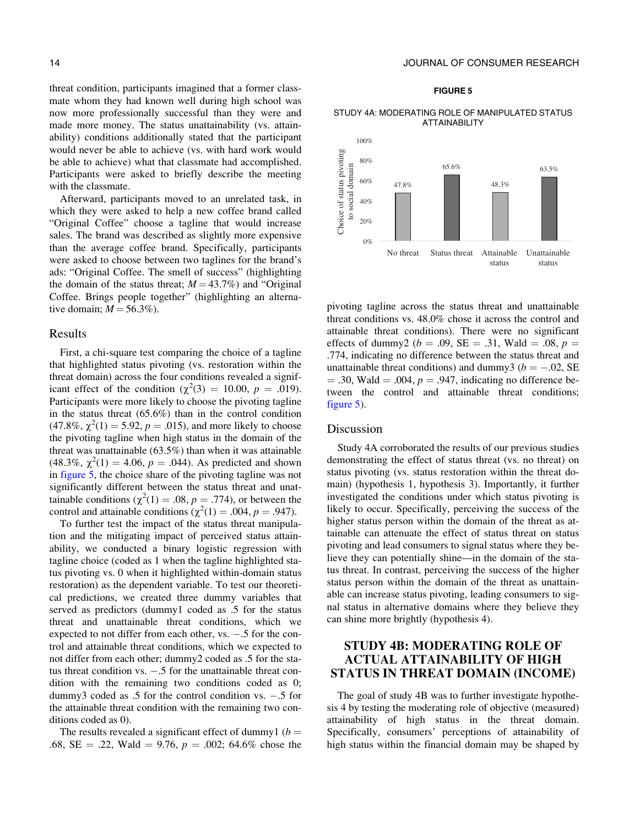threat condition, participants imagined that a former classmate whom they had known well during high school was now more professionally successful than they were and made more money. The status unattainability (vs. attainability) conditions additionally stated that the participant would never be able to achieve (vs. with hard work would be able to achieve) what that classmate had accomplished. Participants were asked to briefly describe the meeting with the classmate.

Afterward, participants moved to an unrelated task, in which they were asked to help a new coffee brand called "Original Coffee" choose a tagline that would increase sales. The brand was described as slightly more expensive than the average coffee brand. Specifically, participants were asked to choose between two taglines for the brand's ads: "Original Coffee. The smell of success" (highlighting the domain of the status threat;  $M = 43.7\%$ ) and "Original Coffee. Brings people together" (highlighting an alternative domain;  $M = 56.3\%$ ).

#### Results

First, a chi-square test comparing the choice of a tagline that highlighted status pivoting (vs. restoration within the threat domain) across the four conditions revealed a significant effect of the condition ( $\chi^2(3) = 10.00, p = .019$ ). Participants were more likely to choose the pivoting tagline in the status threat (65.6%) than in the control condition  $(47.8\%, \chi^2(1) = 5.92, p = .015)$ , and more likely to choose the pivoting tagline when high status in the domain of the threat was unattainable (63.5%) than when it was attainable (48.3%,  $\chi^2(1) = 4.06$ ,  $p = .044$ ). As predicted and shown in figure 5, the choice share of the pivoting tagline was not significantly different between the status threat and unattainable conditions ( $\chi^2(1) = .08$ ,  $p = .774$ ), or between the control and attainable conditions  $(\chi^2(1) = .004, p = .947)$ .

To further test the impact of the status threat manipulation and the mitigating impact of perceived status attainability, we conducted a binary logistic regression with tagline choice (coded as 1 when the tagline highlighted status pivoting vs. 0 when it highlighted within-domain status restoration) as the dependent variable. To test our theoretical predictions, we created three dummy variables that served as predictors (dummy1 coded as .5 for the status threat and unattainable threat conditions, which we expected to not differ from each other,  $vs. -5$  for the control and attainable threat conditions, which we expected to not differ from each other; dummy2 coded as .5 for the status threat condition vs.  $-.5$  for the unattainable threat condition with the remaining two conditions coded as 0; dummy3 coded as  $.5$  for the control condition vs.  $-.5$  for the attainable threat condition with the remaining two conditions coded as 0).

The results revealed a significant effect of dummy1 ( $b =$ .68, SE = .22, Wald = 9.76,  $p = .002$ ; 64.6% chose the

#### 14 JOURNAL OF CONSUMER RESEARCH

#### FIGURE 5

#### STUDY 4A: MODERATING ROLE OF MANIPULATED STATUS ATTAINABILITY



pivoting tagline across the status threat and unattainable threat conditions vs. 48.0% chose it across the control and attainable threat conditions). There were no significant effects of dummy2 ( $b = .09$ , SE = .31, Wald = .08,  $p =$ .774, indicating no difference between the status threat and unattainable threat conditions) and dummy3 ( $b = -.02$ , SE  $= .30$ , Wald  $= .004$ ,  $p = .947$ , indicating no difference between the control and attainable threat conditions; figure 5).

### Discussion

Study 4A corroborated the results of our previous studies demonstrating the effect of status threat (vs. no threat) on status pivoting (vs. status restoration within the threat domain) (hypothesis 1, hypothesis 3). Importantly, it further investigated the conditions under which status pivoting is likely to occur. Specifically, perceiving the success of the higher status person within the domain of the threat as attainable can attenuate the effect of status threat on status pivoting and lead consumers to signal status where they believe they can potentially shine—in the domain of the status threat. In contrast, perceiving the success of the higher status person within the domain of the threat as unattainable can increase status pivoting, leading consumers to signal status in alternative domains where they believe they can shine more brightly (hypothesis 4).

### STUDY 4B: MODERATING ROLE OF ACTUAL ATTAINABILITY OF HIGH STATUS IN THREAT DOMAIN (INCOME)

The goal of study 4B was to further investigate hypothesis 4 by testing the moderating role of objective (measured) attainability of high status in the threat domain. Specifically, consumers' perceptions of attainability of high status within the financial domain may be shaped by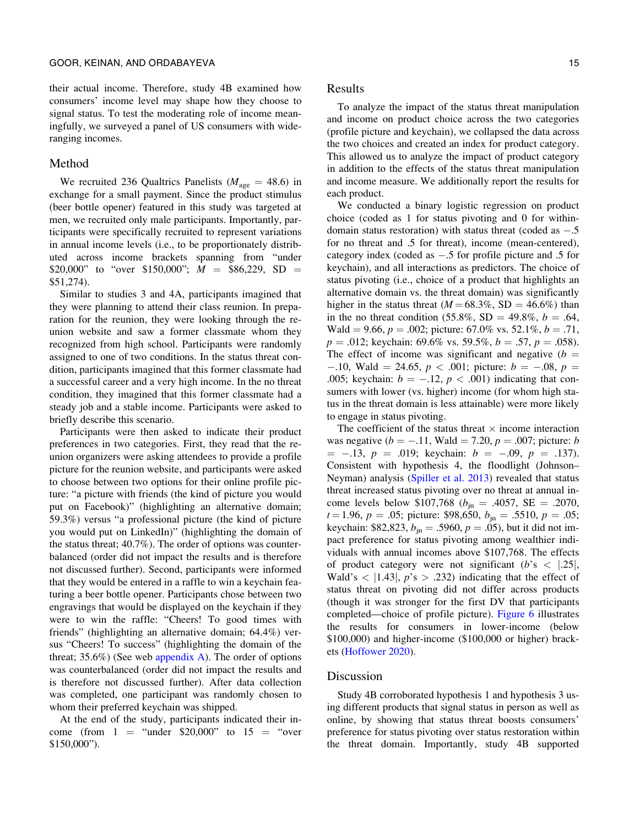their actual income. Therefore, study 4B examined how consumers' income level may shape how they choose to signal status. To test the moderating role of income meaningfully, we surveyed a panel of US consumers with wideranging incomes.

#### Method

We recruited 236 Qualtrics Panelists ( $M_{\text{age}} = 48.6$ ) in exchange for a small payment. Since the product stimulus (beer bottle opener) featured in this study was targeted at men, we recruited only male participants. Importantly, participants were specifically recruited to represent variations in annual income levels (i.e., to be proportionately distributed across income brackets spanning from "under \$20,000" to "over \$150,000";  $M = $86,229$ , SD = \$51,274).

Similar to studies 3 and 4A, participants imagined that they were planning to attend their class reunion. In preparation for the reunion, they were looking through the reunion website and saw a former classmate whom they recognized from high school. Participants were randomly assigned to one of two conditions. In the status threat condition, participants imagined that this former classmate had a successful career and a very high income. In the no threat condition, they imagined that this former classmate had a steady job and a stable income. Participants were asked to briefly describe this scenario.

Participants were then asked to indicate their product preferences in two categories. First, they read that the reunion organizers were asking attendees to provide a profile picture for the reunion website, and participants were asked to choose between two options for their online profile picture: "a picture with friends (the kind of picture you would put on Facebook)" (highlighting an alternative domain; 59.3%) versus "a professional picture (the kind of picture you would put on LinkedIn)" (highlighting the domain of the status threat; 40.7%). The order of options was counterbalanced (order did not impact the results and is therefore not discussed further). Second, participants were informed that they would be entered in a raffle to win a keychain featuring a beer bottle opener. Participants chose between two engravings that would be displayed on the keychain if they were to win the raffle: "Cheers! To good times with friends" (highlighting an alternative domain; 64.4%) versus "Cheers! To success" (highlighting the domain of the threat;  $35.6\%$ ) (See web appendix A). The order of options was counterbalanced (order did not impact the results and is therefore not discussed further). After data collection was completed, one participant was randomly chosen to whom their preferred keychain was shipped.

At the end of the study, participants indicated their income (from  $1 =$  "under \$20,000" to  $15 =$  "over \$150,000").

Results

To analyze the impact of the status threat manipulation and income on product choice across the two categories (profile picture and keychain), we collapsed the data across the two choices and created an index for product category. This allowed us to analyze the impact of product category in addition to the effects of the status threat manipulation and income measure. We additionally report the results for each product.

We conducted a binary logistic regression on product choice (coded as 1 for status pivoting and 0 for withindomain status restoration) with status threat (coded as  $-.5$ for no threat and .5 for threat), income (mean-centered), category index (coded as  $-.5$  for profile picture and  $.5$  for keychain), and all interactions as predictors. The choice of status pivoting (i.e., choice of a product that highlights an alternative domain vs. the threat domain) was significantly higher in the status threat  $(M = 68.3\%, SD = 46.6\%)$  than in the no threat condition (55.8%, SD = 49.8%,  $b = .64$ , Wald = 9.66,  $p = .002$ ; picture: 67.0% vs. 52.1%,  $b = .71$ ,  $p = .012$ ; keychain: 69.6% vs. 59.5%,  $b = .57$ ,  $p = .058$ ). The effect of income was significant and negative  $(b =$  $-10$ , Wald = 24.65,  $p < .001$ ; picture:  $b = -.08$ ,  $p =$ .005; keychain:  $b = -.12$ ,  $p < .001$ ) indicating that consumers with lower (vs. higher) income (for whom high status in the threat domain is less attainable) were more likely to engage in status pivoting.

The coefficient of the status threat  $\times$  income interaction was negative ( $b = -.11$ , Wald = 7.20,  $p = .007$ ; picture: b  $=$  -.13,  $p = .019$ ; keychain:  $b = -.09$ ,  $p = .137$ ). Consistent with hypothesis 4, the floodlight (Johnson– Neyman) analysis [\(Spiller et al. 2013](#page-23-0)) revealed that status threat increased status pivoting over no threat at annual income levels below \$107,768 ( $b_{\text{in}} = .4057$ , SE = .2070,  $t = 1.96$ ,  $p = .05$ ; picture: \$98,650,  $b_{in} = .5510$ ,  $p = .05$ ; keychain: \$82,823,  $b_{in} = .5960$ ,  $p = .05$ ), but it did not impact preference for status pivoting among wealthier individuals with annual incomes above \$107,768. The effects of product category were not significant  $(b's < |.25|,$ Wald's  $\langle$  [1.43], p's  $> .232$ ) indicating that the effect of status threat on pivoting did not differ across products (though it was stronger for the first DV that participants completed—choice of profile picture). [Figure 6](#page-15-0) illustrates the results for consumers in lower-income (below \$100,000) and higher-income (\$100,000 or higher) brackets ([Hoffower 2020](#page-22-0)).

#### Discussion

Study 4B corroborated hypothesis 1 and hypothesis 3 using different products that signal status in person as well as online, by showing that status threat boosts consumers' preference for status pivoting over status restoration within the threat domain. Importantly, study 4B supported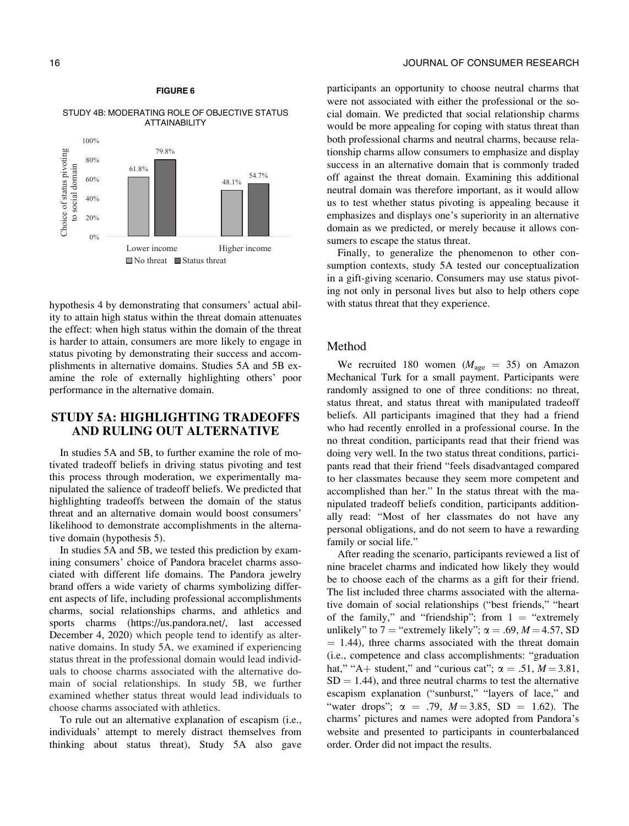<span id="page-15-0"></span>



hypothesis 4 by demonstrating that consumers' actual ability to attain high status within the threat domain attenuates the effect: when high status within the domain of the threat is harder to attain, consumers are more likely to engage in status pivoting by demonstrating their success and accomplishments in alternative domains. Studies 5A and 5B examine the role of externally highlighting others' poor performance in the alternative domain.

### STUDY 5A: HIGHLIGHTING TRADEOFFS AND RULING OUT ALTERNATIVE

In studies 5A and 5B, to further examine the role of motivated tradeoff beliefs in driving status pivoting and test this process through moderation, we experimentally manipulated the salience of tradeoff beliefs. We predicted that highlighting tradeoffs between the domain of the status threat and an alternative domain would boost consumers' likelihood to demonstrate accomplishments in the alternative domain (hypothesis 5).

In studies 5A and 5B, we tested this prediction by examining consumers' choice of Pandora bracelet charms associated with different life domains. The Pandora jewelry brand offers a wide variety of charms symbolizing different aspects of life, including professional accomplishments charms, social relationships charms, and athletics and sports charms ([https://us.pandora.net/, last accessed](https://us.pandora.net/) [December 4, 2020](https://us.pandora.net/)) which people tend to identify as alternative domains. In study 5A, we examined if experiencing status threat in the professional domain would lead individuals to choose charms associated with the alternative domain of social relationships. In study 5B, we further examined whether status threat would lead individuals to choose charms associated with athletics.

To rule out an alternative explanation of escapism (i.e., individuals' attempt to merely distract themselves from thinking about status threat), Study 5A also gave

participants an opportunity to choose neutral charms that were not associated with either the professional or the social domain. We predicted that social relationship charms would be more appealing for coping with status threat than both professional charms and neutral charms, because relationship charms allow consumers to emphasize and display success in an alternative domain that is commonly traded off against the threat domain. Examining this additional neutral domain was therefore important, as it would allow us to test whether status pivoting is appealing because it emphasizes and displays one's superiority in an alternative domain as we predicted, or merely because it allows consumers to escape the status threat.

Finally, to generalize the phenomenon to other consumption contexts, study 5A tested our conceptualization in a gift-giving scenario. Consumers may use status pivoting not only in personal lives but also to help others cope with status threat that they experience.

#### Method

We recruited 180 women ( $M_{\text{age}} = 35$ ) on Amazon Mechanical Turk for a small payment. Participants were randomly assigned to one of three conditions: no threat, status threat, and status threat with manipulated tradeoff beliefs. All participants imagined that they had a friend who had recently enrolled in a professional course. In the no threat condition, participants read that their friend was doing very well. In the two status threat conditions, participants read that their friend "feels disadvantaged compared to her classmates because they seem more competent and accomplished than her." In the status threat with the manipulated tradeoff beliefs condition, participants additionally read: "Most of her classmates do not have any personal obligations, and do not seem to have a rewarding family or social life."

After reading the scenario, participants reviewed a list of nine bracelet charms and indicated how likely they would be to choose each of the charms as a gift for their friend. The list included three charms associated with the alternative domain of social relationships ("best friends," "heart of the family," and "friendship"; from  $1 =$  "extremely" unlikely" to 7 = "extremely likely";  $\alpha$  = .69, *M* = 4.57, SD  $= 1.44$ ), three charms associated with the threat domain (i.e., competence and class accomplishments: "graduation hat," "A+ student," and "curious cat";  $\alpha = .51$ ,  $M = 3.81$ ,  $SD = 1.44$ ), and three neutral charms to test the alternative escapism explanation ("sunburst," "layers of lace," and "water drops";  $\alpha = .79$ ,  $M = 3.85$ , SD = 1.62). The charms' pictures and names were adopted from Pandora's website and presented to participants in counterbalanced order. Order did not impact the results.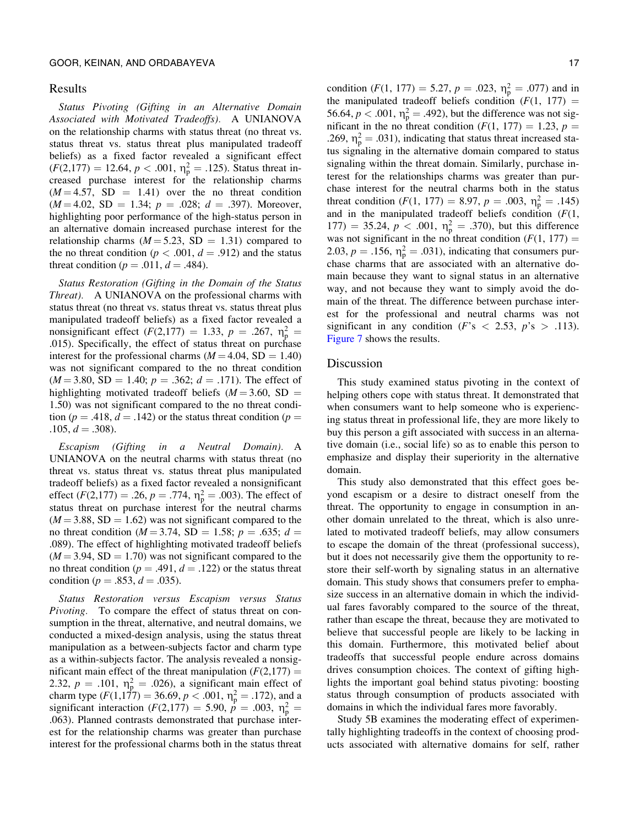#### Results

Status Pivoting (Gifting in an Alternative Domain Associated with Motivated Tradeoffs). A UNIANOVA on the relationship charms with status threat (no threat vs. status threat vs. status threat plus manipulated tradeoff beliefs) as a fixed factor revealed a significant effect  $(F(2,177) = 12.64, p < .001, \eta_{p}^{2} = .125)$ . Status threat increased purchase interest for the relationship charms  $(M = 4.57, SD = 1.41)$  over the no threat condition  $(M = 4.02, SD = 1.34; p = .028; d = .397)$ . Moreover, highlighting poor performance of the high-status person in an alternative domain increased purchase interest for the relationship charms ( $M = 5.23$ , SD = 1.31) compared to the no threat condition ( $p < .001$ ,  $d = .912$ ) and the status threat condition ( $p = .011$ ,  $d = .484$ ).

Status Restoration (Gifting in the Domain of the Status Threat). A UNIANOVA on the professional charms with status threat (no threat vs. status threat vs. status threat plus manipulated tradeoff beliefs) as a fixed factor revealed a nonsignificant effect  $(F(2,177) = 1.33, p = .267, \eta_p^2 =$ .015). Specifically, the effect of status threat on purchase interest for the professional charms  $(M = 4.04, SD = 1.40)$ was not significant compared to the no threat condition  $(M = 3.80, SD = 1.40; p = .362; d = .171)$ . The effect of highlighting motivated tradeoff beliefs ( $M = 3.60$ , SD = 1.50) was not significant compared to the no threat condition ( $p = .418$ ,  $d = .142$ ) or the status threat condition ( $p =$  $.105, d = .308$ .

Escapism (Gifting in a Neutral Domain). A UNIANOVA on the neutral charms with status threat (no threat vs. status threat vs. status threat plus manipulated tradeoff beliefs) as a fixed factor revealed a nonsignificant effect ( $F(2,177) = .26$ ,  $p = .774$ ,  $\eta_p^2 = .003$ ). The effect of status threat on purchase interest for the neutral charms  $(M = 3.88, SD = 1.62)$  was not significant compared to the no threat condition ( $M = 3.74$ , SD = 1.58;  $p = .635$ ;  $d =$ .089). The effect of highlighting motivated tradeoff beliefs  $(M = 3.94, SD = 1.70)$  was not significant compared to the no threat condition ( $p = .491$ ,  $d = .122$ ) or the status threat condition ( $p = .853$ ,  $d = .035$ ).

Status Restoration versus Escapism versus Status Pivoting. To compare the effect of status threat on consumption in the threat, alternative, and neutral domains, we conducted a mixed-design analysis, using the status threat manipulation as a between-subjects factor and charm type as a within-subjects factor. The analysis revealed a nonsignificant main effect of the threat manipulation ( $F(2,177) =$ 2.32,  $p = .101$ ,  $\eta_p^2 = .026$ ), a significant main effect of charm type  $(F(1,177) = 36.69, p < .001, \eta_{p}^{2} = .172)$ , and a significant interaction ( $F(2,177) = 5.90, p^2 = .003, \eta_p^2 =$ .063). Planned contrasts demonstrated that purchase interest for the relationship charms was greater than purchase interest for the professional charms both in the status threat condition  $(F(1, 177) = 5.27, p = .023, \eta_{p}^{2} = .077)$  and in the manipulated tradeoff beliefs condition  $(F(1, 177))$  = 56.64,  $p < .001$ ,  $\eta_p^2 = .492$ ), but the difference was not significant in the no threat condition  $(F(1, 177) = 1.23, p =$ .269,  $\eta_p^2 = .031$ ), indicating that status threat increased status signaling in the alternative domain compared to status signaling within the threat domain. Similarly, purchase interest for the relationships charms was greater than purchase interest for the neutral charms both in the status threat condition  $(F(1, 177) = 8.97, p = .003, \eta_p^2 = .145)$ and in the manipulated tradeoff beliefs condition  $(F(1,$ 177) = 35.24,  $p < .001$ ,  $\eta_p^2 = .370$ , but this difference was not significant in the no threat condition  $(F(1, 177)) =$ 2.03,  $p = .156$ ,  $\eta_p^2 = .031$ ), indicating that consumers purchase charms that are associated with an alternative domain because they want to signal status in an alternative way, and not because they want to simply avoid the domain of the threat. The difference between purchase interest for the professional and neutral charms was not significant in any condition (F's  $\langle$  2.53, p's  $>$  .113). [Figure 7](#page-17-0) shows the results.

#### Discussion

This study examined status pivoting in the context of helping others cope with status threat. It demonstrated that when consumers want to help someone who is experiencing status threat in professional life, they are more likely to buy this person a gift associated with success in an alternative domain (i.e., social life) so as to enable this person to emphasize and display their superiority in the alternative domain.

This study also demonstrated that this effect goes beyond escapism or a desire to distract oneself from the threat. The opportunity to engage in consumption in another domain unrelated to the threat, which is also unrelated to motivated tradeoff beliefs, may allow consumers to escape the domain of the threat (professional success), but it does not necessarily give them the opportunity to restore their self-worth by signaling status in an alternative domain. This study shows that consumers prefer to emphasize success in an alternative domain in which the individual fares favorably compared to the source of the threat, rather than escape the threat, because they are motivated to believe that successful people are likely to be lacking in this domain. Furthermore, this motivated belief about tradeoffs that successful people endure across domains drives consumption choices. The context of gifting highlights the important goal behind status pivoting: boosting status through consumption of products associated with domains in which the individual fares more favorably.

Study 5B examines the moderating effect of experimentally highlighting tradeoffs in the context of choosing products associated with alternative domains for self, rather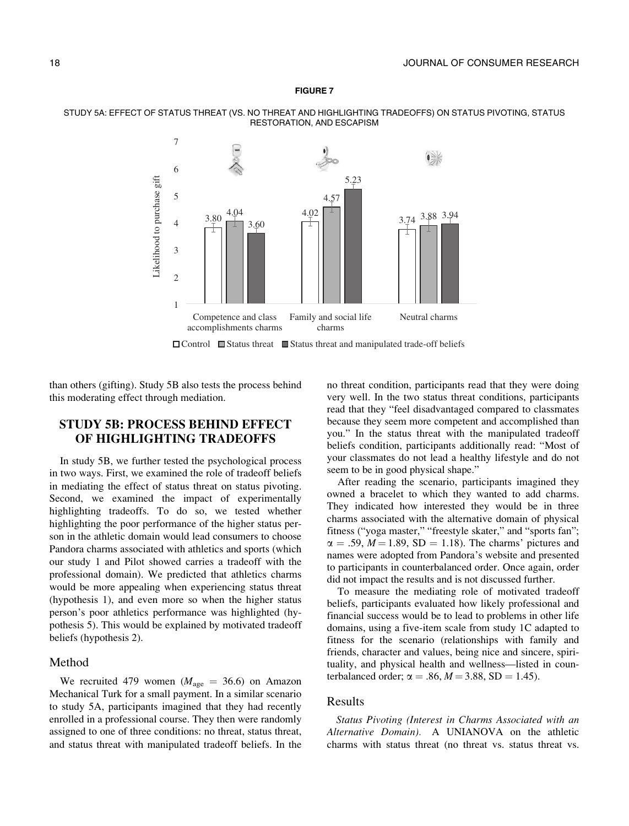<span id="page-17-0"></span>





than others (gifting). Study 5B also tests the process behind this moderating effect through mediation.

### STUDY 5B: PROCESS BEHIND EFFECT OF HIGHLIGHTING TRADEOFFS

In study 5B, we further tested the psychological process in two ways. First, we examined the role of tradeoff beliefs in mediating the effect of status threat on status pivoting. Second, we examined the impact of experimentally highlighting tradeoffs. To do so, we tested whether highlighting the poor performance of the higher status person in the athletic domain would lead consumers to choose Pandora charms associated with athletics and sports (which our study 1 and Pilot showed carries a tradeoff with the professional domain). We predicted that athletics charms would be more appealing when experiencing status threat (hypothesis 1), and even more so when the higher status person's poor athletics performance was highlighted (hypothesis 5). This would be explained by motivated tradeoff beliefs (hypothesis 2).

#### Method

We recruited 479 women ( $M_{\text{age}} = 36.6$ ) on Amazon Mechanical Turk for a small payment. In a similar scenario to study 5A, participants imagined that they had recently enrolled in a professional course. They then were randomly assigned to one of three conditions: no threat, status threat, and status threat with manipulated tradeoff beliefs. In the

no threat condition, participants read that they were doing very well. In the two status threat conditions, participants read that they "feel disadvantaged compared to classmates because they seem more competent and accomplished than you." In the status threat with the manipulated tradeoff beliefs condition, participants additionally read: "Most of your classmates do not lead a healthy lifestyle and do not seem to be in good physical shape."

After reading the scenario, participants imagined they owned a bracelet to which they wanted to add charms. They indicated how interested they would be in three charms associated with the alternative domain of physical fitness ("yoga master," "freestyle skater," and "sports fan";  $\alpha = .59$ ,  $M = 1.89$ , SD = 1.18). The charms' pictures and names were adopted from Pandora's website and presented to participants in counterbalanced order. Once again, order did not impact the results and is not discussed further.

To measure the mediating role of motivated tradeoff beliefs, participants evaluated how likely professional and financial success would be to lead to problems in other life domains, using a five-item scale from study 1C adapted to fitness for the scenario (relationships with family and friends, character and values, being nice and sincere, spirituality, and physical health and wellness—listed in counterbalanced order;  $\alpha = .86, M = 3.88, SD = 1.45$ .

#### Results

Status Pivoting (Interest in Charms Associated with an Alternative Domain). A UNIANOVA on the athletic charms with status threat (no threat vs. status threat vs.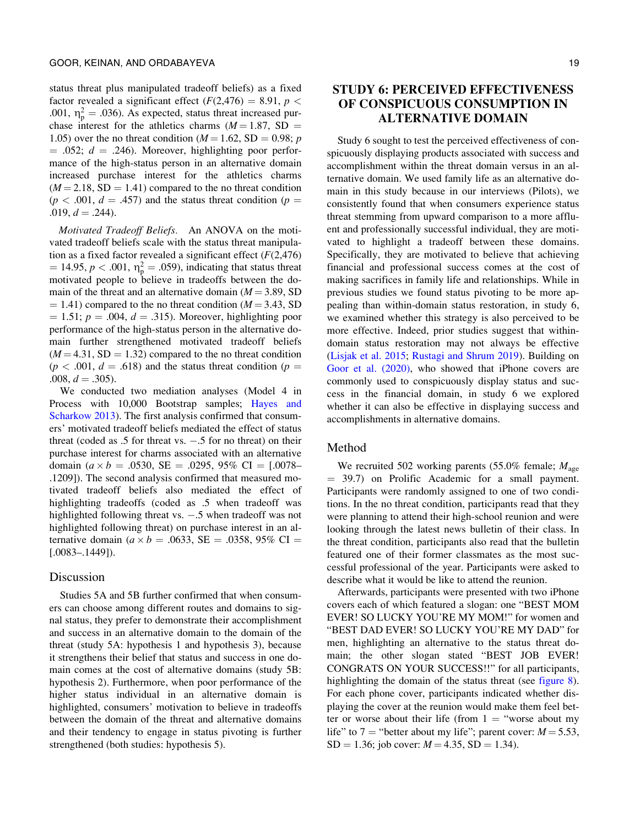status threat plus manipulated tradeoff beliefs) as a fixed factor revealed a significant effect  $(F(2, 476) = 8.91, p <$ .001,  $\eta_p^2 = .036$ ). As expected, status threat increased purchase interest for the athletics charms ( $M = 1.87$ , SD = 1.05) over the no threat condition ( $M = 1.62$ , SD = 0.98; p.  $= .052$ ;  $d = .246$ ). Moreover, highlighting poor performance of the high-status person in an alternative domain increased purchase interest for the athletics charms  $(M = 2.18, SD = 1.41)$  compared to the no threat condition  $(p < .001, d = .457)$  and the status threat condition  $(p = .001, d = .457)$  $.019, d = .244$ .

Motivated Tradeoff Beliefs. An ANOVA on the motivated tradeoff beliefs scale with the status threat manipulation as a fixed factor revealed a significant effect  $(F(2, 476))$  $= 14.95, p < .001, \eta_{\rm p}^2 = .059$ , indicating that status threat motivated people to believe in tradeoffs between the domain of the threat and an alternative domain  $(M = 3.89, SD)$  $(4 - 1.41)$  compared to the no threat condition ( $M = 3.43$ , SD  $= 1.51$ ;  $p = .004$ ,  $d = .315$ ). Moreover, highlighting poor performance of the high-status person in the alternative domain further strengthened motivated tradeoff beliefs  $(M = 4.31, SD = 1.32)$  compared to the no threat condition  $(p < .001, d = .618)$  and the status threat condition  $(p = .001, d = .618)$  $.008, d = .305$ ).

We conducted two mediation analyses (Model 4 in Process with 10,000 Bootstrap samples; [Hayes and](#page-22-0) [Scharkow 2013](#page-22-0)). The first analysis confirmed that consumers' motivated tradeoff beliefs mediated the effect of status threat (coded as  $.5$  for threat vs.  $-.5$  for no threat) on their purchase interest for charms associated with an alternative domain ( $a \times b = .0530$ , SE = .0295, 95% CI = [.0078– .1209]). The second analysis confirmed that measured motivated tradeoff beliefs also mediated the effect of highlighting tradeoffs (coded as .5 when tradeoff was highlighted following threat vs.  $-.5$  when tradeoff was not highlighted following threat) on purchase interest in an alternative domain ( $a \times b = .0633$ , SE = .0358, 95% CI = [.0083–.1449]).

### Discussion

Studies 5A and 5B further confirmed that when consumers can choose among different routes and domains to signal status, they prefer to demonstrate their accomplishment and success in an alternative domain to the domain of the threat (study 5A: hypothesis 1 and hypothesis 3), because it strengthens their belief that status and success in one domain comes at the cost of alternative domains (study 5B: hypothesis 2). Furthermore, when poor performance of the higher status individual in an alternative domain is highlighted, consumers' motivation to believe in tradeoffs between the domain of the threat and alternative domains and their tendency to engage in status pivoting is further strengthened (both studies: hypothesis 5).

### STUDY 6: PERCEIVED EFFECTIVENESS OF CONSPICUOUS CONSUMPTION IN ALTERNATIVE DOMAIN

Study 6 sought to test the perceived effectiveness of conspicuously displaying products associated with success and accomplishment within the threat domain versus in an alternative domain. We used family life as an alternative domain in this study because in our interviews (Pilots), we consistently found that when consumers experience status threat stemming from upward comparison to a more affluent and professionally successful individual, they are motivated to highlight a tradeoff between these domains. Specifically, they are motivated to believe that achieving financial and professional success comes at the cost of making sacrifices in family life and relationships. While in previous studies we found status pivoting to be more appealing than within-domain status restoration, in study 6, we examined whether this strategy is also perceived to be more effective. Indeed, prior studies suggest that withindomain status restoration may not always be effective ([Lisjak et al. 2015](#page-23-0); [Rustagi and Shrum 2019](#page-23-0)). Building on [Goor et al. \(2020\)](#page-22-0), who showed that iPhone covers are commonly used to conspicuously display status and success in the financial domain, in study 6 we explored whether it can also be effective in displaying success and accomplishments in alternative domains.

#### Method

We recruited 502 working parents (55.0% female;  $M_{\text{age}}$  $=$  39.7) on Prolific Academic for a small payment. Participants were randomly assigned to one of two conditions. In the no threat condition, participants read that they were planning to attend their high-school reunion and were looking through the latest news bulletin of their class. In the threat condition, participants also read that the bulletin featured one of their former classmates as the most successful professional of the year. Participants were asked to describe what it would be like to attend the reunion.

Afterwards, participants were presented with two iPhone covers each of which featured a slogan: one "BEST MOM EVER! SO LUCKY YOU'RE MY MOM!" for women and "BEST DAD EVER! SO LUCKY YOU'RE MY DAD" for men, highlighting an alternative to the status threat domain; the other slogan stated "BEST JOB EVER! CONGRATS ON YOUR SUCCESS!!" for all participants, highlighting the domain of the status threat (see [figure 8\)](#page-19-0). For each phone cover, participants indicated whether displaying the cover at the reunion would make them feel better or worse about their life (from  $1 =$  "worse about my life" to 7 = "better about my life"; parent cover:  $M = 5.53$ ,  $SD = 1.36$ ; job cover:  $M = 4.35$ ,  $SD = 1.34$ ).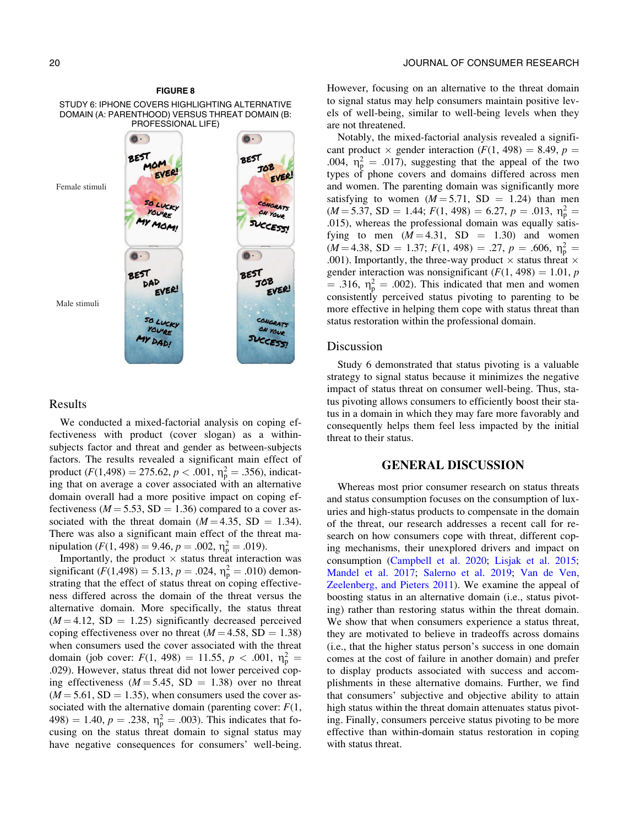<span id="page-19-0"></span>STUDY 6: IPHONE COVERS HIGHLIGHTING ALTERNATIVE DOMAIN (A: PARENTHOOD) VERSUS THREAT DOMAIN (B: PROFESSIONAL LIFE)



#### Results

We conducted a mixed-factorial analysis on coping effectiveness with product (cover slogan) as a withinsubjects factor and threat and gender as between-subjects factors. The results revealed a significant main effect of product  $(F(1, 498) = 275.62, p < .001, \eta_{p}^{2} = .356)$ , indicating that on average a cover associated with an alternative domain overall had a more positive impact on coping effectiveness ( $M = 5.53$ , SD = 1.36) compared to a cover associated with the threat domain  $(M = 4.35, SD = 1.34)$ . There was also a significant main effect of the threat manipulation ( $F(1, 498) = 9.46$ ,  $p = .002$ ,  $\eta_p^2 = .019$ ).

Importantly, the product  $\times$  status threat interaction was significant ( $F(1,498) = 5.13$ ,  $p = .024$ ,  $\eta_p^2 = .010$ ) demonstrating that the effect of status threat on coping effectiveness differed across the domain of the threat versus the alternative domain. More specifically, the status threat  $(M = 4.12, SD = 1.25)$  significantly decreased perceived coping effectiveness over no threat  $(M = 4.58, SD = 1.38)$ when consumers used the cover associated with the threat domain (job cover:  $F(1, 498) = 11.55, p < .001, \eta_{p}^{2} =$ .029). However, status threat did not lower perceived coping effectiveness ( $M = 5.45$ , SD = 1.38) over no threat  $(M = 5.61, SD = 1.35)$ , when consumers used the cover associated with the alternative domain (parenting cover:  $F(1)$ , 498) = 1.40,  $p = .238$ ,  $\eta_p^2 = .003$ ). This indicates that focusing on the status threat domain to signal status may have negative consequences for consumers' well-being. However, focusing on an alternative to the threat domain to signal status may help consumers maintain positive levels of well-being, similar to well-being levels when they are not threatened.

Notably, the mixed-factorial analysis revealed a significant product  $\times$  gender interaction (F(1, 498) = 8.49, p = .004,  $\eta_p^2 = .017$ , suggesting that the appeal of the two types of phone covers and domains differed across men and women. The parenting domain was significantly more satisfying to women  $(M = 5.71, SD = 1.24)$  than men  $(M = 5.37, SD = 1.44; F(1, 498) = 6.27, p = .013, \eta_{\rm p}^2 =$ .015), whereas the professional domain was equally satisfying to men  $(M = 4.31, SD = 1.30)$  and women  $(M = 4.38, SD = 1.37; F(1, 498) = .27, p = .606, \eta_p^2 =$ .001). Importantly, the three-way product  $\times$  status threat  $\times$ gender interaction was nonsignificant  $(F(1, 498) = 1.01, p$  $=$  .316,  $\eta_p^2 = .002$ ). This indicated that men and women consistently perceived status pivoting to parenting to be more effective in helping them cope with status threat than status restoration within the professional domain.

#### Discussion

Study 6 demonstrated that status pivoting is a valuable strategy to signal status because it minimizes the negative impact of status threat on consumer well-being. Thus, status pivoting allows consumers to efficiently boost their status in a domain in which they may fare more favorably and consequently helps them feel less impacted by the initial threat to their status.

#### GENERAL DISCUSSION

Whereas most prior consumer research on status threats and status consumption focuses on the consumption of luxuries and high-status products to compensate in the domain of the threat, our research addresses a recent call for research on how consumers cope with threat, different coping mechanisms, their unexplored drivers and impact on consumption ([Campbell et al. 2020;](#page-21-0) [Lisjak et al. 2015;](#page-23-0) [Mandel et al. 2017](#page-23-0); [Salerno et al. 2019;](#page-23-0) [Van de Ven,](#page-23-0) [Zeelenberg, and Pieters 2011\)](#page-23-0). We examine the appeal of boosting status in an alternative domain (i.e., status pivoting) rather than restoring status within the threat domain. We show that when consumers experience a status threat, they are motivated to believe in tradeoffs across domains (i.e., that the higher status person's success in one domain comes at the cost of failure in another domain) and prefer to display products associated with success and accomplishments in these alternative domains. Further, we find that consumers' subjective and objective ability to attain high status within the threat domain attenuates status pivoting. Finally, consumers perceive status pivoting to be more effective than within-domain status restoration in coping with status threat.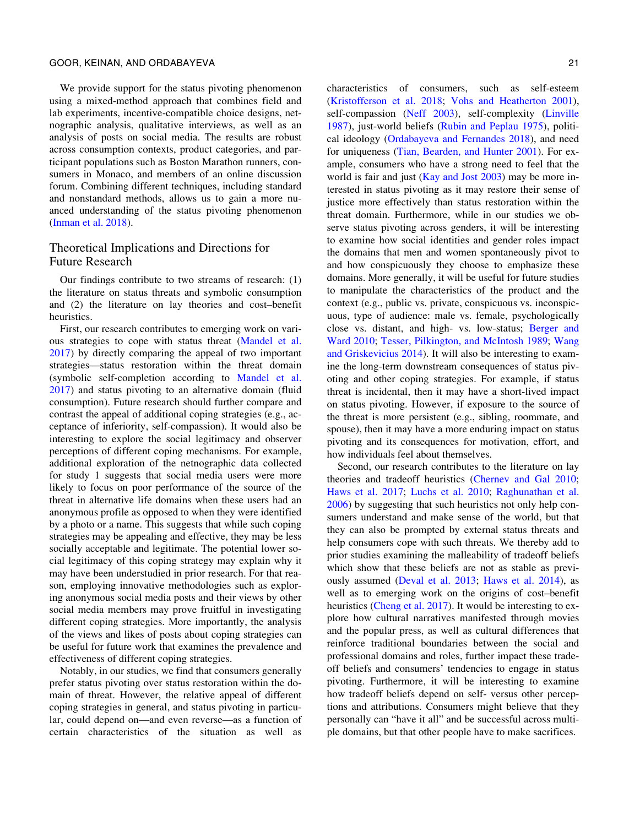We provide support for the status pivoting phenomenon using a mixed-method approach that combines field and lab experiments, incentive-compatible choice designs, netnographic analysis, qualitative interviews, as well as an analysis of posts on social media. The results are robust across consumption contexts, product categories, and participant populations such as Boston Marathon runners, consumers in Monaco, and members of an online discussion forum. Combining different techniques, including standard and nonstandard methods, allows us to gain a more nuanced understanding of the status pivoting phenomenon [\(Inman et al. 2018](#page-22-0)).

### Theoretical Implications and Directions for Future Research

Our findings contribute to two streams of research: (1) the literature on status threats and symbolic consumption and (2) the literature on lay theories and cost–benefit heuristics.

First, our research contributes to emerging work on various strategies to cope with status threat ([Mandel et al.](#page-23-0) [2017\)](#page-23-0) by directly comparing the appeal of two important strategies—status restoration within the threat domain (symbolic self-completion according to [Mandel et al.](#page-23-0) [2017\)](#page-23-0) and status pivoting to an alternative domain (fluid consumption). Future research should further compare and contrast the appeal of additional coping strategies (e.g., acceptance of inferiority, self-compassion). It would also be interesting to explore the social legitimacy and observer perceptions of different coping mechanisms. For example, additional exploration of the netnographic data collected for study 1 suggests that social media users were more likely to focus on poor performance of the source of the threat in alternative life domains when these users had an anonymous profile as opposed to when they were identified by a photo or a name. This suggests that while such coping strategies may be appealing and effective, they may be less socially acceptable and legitimate. The potential lower social legitimacy of this coping strategy may explain why it may have been understudied in prior research. For that reason, employing innovative methodologies such as exploring anonymous social media posts and their views by other social media members may prove fruitful in investigating different coping strategies. More importantly, the analysis of the views and likes of posts about coping strategies can be useful for future work that examines the prevalence and effectiveness of different coping strategies.

Notably, in our studies, we find that consumers generally prefer status pivoting over status restoration within the domain of threat. However, the relative appeal of different coping strategies in general, and status pivoting in particular, could depend on—and even reverse—as a function of certain characteristics of the situation as well as

characteristics of consumers, such as self-esteem ([Kristofferson et al. 2018;](#page-22-0) [Vohs and Heatherton 2001\)](#page-23-0), self-compassion [\(Neff 2003](#page-23-0)), self-complexity ([Linville](#page-23-0) [1987\)](#page-23-0), just-world beliefs [\(Rubin and Peplau 1975](#page-23-0)), political ideology [\(Ordabayeva and Fernandes 2018](#page-23-0)), and need for uniqueness [\(Tian, Bearden, and Hunter 2001](#page-23-0)). For example, consumers who have a strong need to feel that the world is fair and just [\(Kay and Jost 2003](#page-22-0)) may be more interested in status pivoting as it may restore their sense of justice more effectively than status restoration within the threat domain. Furthermore, while in our studies we observe status pivoting across genders, it will be interesting to examine how social identities and gender roles impact the domains that men and women spontaneously pivot to and how conspicuously they choose to emphasize these domains. More generally, it will be useful for future studies to manipulate the characteristics of the product and the context (e.g., public vs. private, conspicuous vs. inconspicuous, type of audience: male vs. female, psychologically close vs. distant, and high- vs. low-status; [Berger and](#page-21-0) [Ward 2010;](#page-21-0) [Tesser, Pilkington, and McIntosh 1989;](#page-23-0) [Wang](#page-23-0) [and Griskevicius 2014](#page-23-0)). It will also be interesting to examine the long-term downstream consequences of status pivoting and other coping strategies. For example, if status threat is incidental, then it may have a short-lived impact on status pivoting. However, if exposure to the source of the threat is more persistent (e.g., sibling, roommate, and spouse), then it may have a more enduring impact on status pivoting and its consequences for motivation, effort, and how individuals feel about themselves.

Second, our research contributes to the literature on lay theories and tradeoff heuristics [\(Chernev and Gal 2010;](#page-22-0) [Haws et al. 2017;](#page-22-0) [Luchs et al. 2010](#page-23-0); [Raghunathan et al.](#page-23-0) [2006\)](#page-23-0) by suggesting that such heuristics not only help consumers understand and make sense of the world, but that they can also be prompted by external status threats and help consumers cope with such threats. We thereby add to prior studies examining the malleability of tradeoff beliefs which show that these beliefs are not as stable as previously assumed [\(Deval et al. 2013;](#page-22-0) [Haws et al. 2014](#page-22-0)), as well as to emerging work on the origins of cost–benefit heuristics ([Cheng et al. 2017](#page-21-0)). It would be interesting to explore how cultural narratives manifested through movies and the popular press, as well as cultural differences that reinforce traditional boundaries between the social and professional domains and roles, further impact these tradeoff beliefs and consumers' tendencies to engage in status pivoting. Furthermore, it will be interesting to examine how tradeoff beliefs depend on self- versus other perceptions and attributions. Consumers might believe that they personally can "have it all" and be successful across multiple domains, but that other people have to make sacrifices.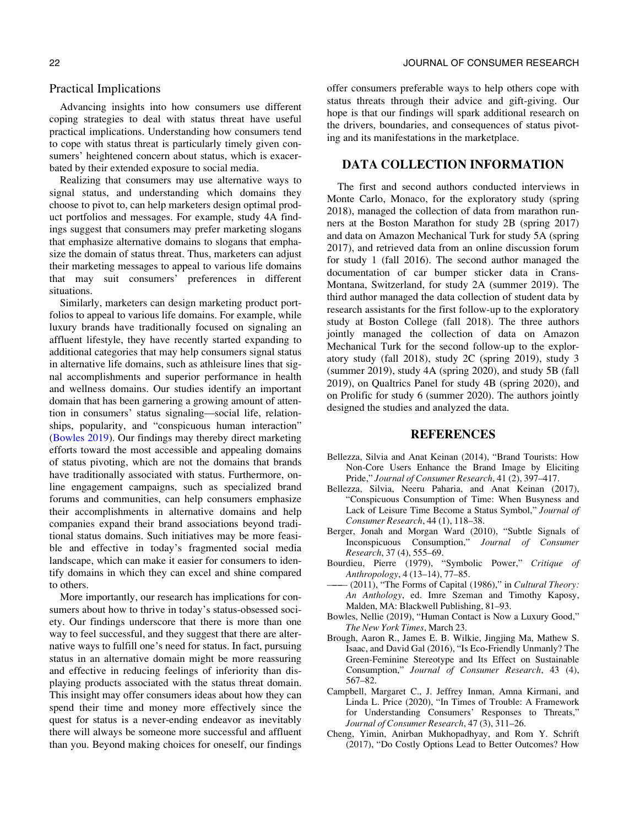#### <span id="page-21-0"></span>Practical Implications

Advancing insights into how consumers use different coping strategies to deal with status threat have useful practical implications. Understanding how consumers tend to cope with status threat is particularly timely given consumers' heightened concern about status, which is exacerbated by their extended exposure to social media.

Realizing that consumers may use alternative ways to signal status, and understanding which domains they choose to pivot to, can help marketers design optimal product portfolios and messages. For example, study 4A findings suggest that consumers may prefer marketing slogans that emphasize alternative domains to slogans that emphasize the domain of status threat. Thus, marketers can adjust their marketing messages to appeal to various life domains that may suit consumers' preferences in different situations.

Similarly, marketers can design marketing product portfolios to appeal to various life domains. For example, while luxury brands have traditionally focused on signaling an affluent lifestyle, they have recently started expanding to additional categories that may help consumers signal status in alternative life domains, such as athleisure lines that signal accomplishments and superior performance in health and wellness domains. Our studies identify an important domain that has been garnering a growing amount of attention in consumers' status signaling—social life, relationships, popularity, and "conspicuous human interaction" (Bowles 2019). Our findings may thereby direct marketing efforts toward the most accessible and appealing domains of status pivoting, which are not the domains that brands have traditionally associated with status. Furthermore, online engagement campaigns, such as specialized brand forums and communities, can help consumers emphasize their accomplishments in alternative domains and help companies expand their brand associations beyond traditional status domains. Such initiatives may be more feasible and effective in today's fragmented social media landscape, which can make it easier for consumers to identify domains in which they can excel and shine compared to others.

More importantly, our research has implications for consumers about how to thrive in today's status-obsessed society. Our findings underscore that there is more than one way to feel successful, and they suggest that there are alternative ways to fulfill one's need for status. In fact, pursuing status in an alternative domain might be more reassuring and effective in reducing feelings of inferiority than displaying products associated with the status threat domain. This insight may offer consumers ideas about how they can spend their time and money more effectively since the quest for status is a never-ending endeavor as inevitably there will always be someone more successful and affluent than you. Beyond making choices for oneself, our findings

offer consumers preferable ways to help others cope with status threats through their advice and gift-giving. Our hope is that our findings will spark additional research on the drivers, boundaries, and consequences of status pivoting and its manifestations in the marketplace.

### DATA COLLECTION INFORMATION

The first and second authors conducted interviews in Monte Carlo, Monaco, for the exploratory study (spring 2018), managed the collection of data from marathon runners at the Boston Marathon for study 2B (spring 2017) and data on Amazon Mechanical Turk for study 5A (spring 2017), and retrieved data from an online discussion forum for study 1 (fall 2016). The second author managed the documentation of car bumper sticker data in Crans-Montana, Switzerland, for study 2A (summer 2019). The third author managed the data collection of student data by research assistants for the first follow-up to the exploratory study at Boston College (fall 2018). The three authors jointly managed the collection of data on Amazon Mechanical Turk for the second follow-up to the exploratory study (fall 2018), study 2C (spring 2019), study 3 (summer 2019), study 4A (spring 2020), and study 5B (fall 2019), on Qualtrics Panel for study 4B (spring 2020), and on Prolific for study 6 (summer 2020). The authors jointly designed the studies and analyzed the data.

#### REFERENCES

- Bellezza, Silvia and Anat Keinan (2014), "Brand Tourists: How Non-Core Users Enhance the Brand Image by Eliciting Pride," Journal of Consumer Research, 41 (2), 397–417.
- Bellezza, Silvia, Neeru Paharia, and Anat Keinan (2017), "Conspicuous Consumption of Time: When Busyness and Lack of Leisure Time Become a Status Symbol," Journal of Consumer Research, 44 (1), 118–38.
- Berger, Jonah and Morgan Ward (2010), "Subtle Signals of Inconspicuous Consumption," Journal of Consumer Research, 37 (4), 555–69.
- Bourdieu, Pierre (1979), "Symbolic Power," Critique of Anthropology, 4 (13–14), 77–85.
- $-$  (2011), "The Forms of Capital (1986)," in Cultural Theory: An Anthology, ed. Imre Szeman and Timothy Kaposy, Malden, MA: Blackwell Publishing, 81–93.
- Bowles, Nellie (2019), "Human Contact is Now a Luxury Good," The New York Times, March 23.
- Brough, Aaron R., James E. B. Wilkie, Jingjing Ma, Mathew S. Isaac, and David Gal (2016), "Is Eco-Friendly Unmanly? The Green-Feminine Stereotype and Its Effect on Sustainable Consumption," Journal of Consumer Research, 43 (4), 567–82.
- Campbell, Margaret C., J. Jeffrey Inman, Amna Kirmani, and Linda L. Price (2020), "In Times of Trouble: A Framework for Understanding Consumers' Responses to Threats," Journal of Consumer Research, 47 (3), 311–26.
- Cheng, Yimin, Anirban Mukhopadhyay, and Rom Y. Schrift (2017), "Do Costly Options Lead to Better Outcomes? How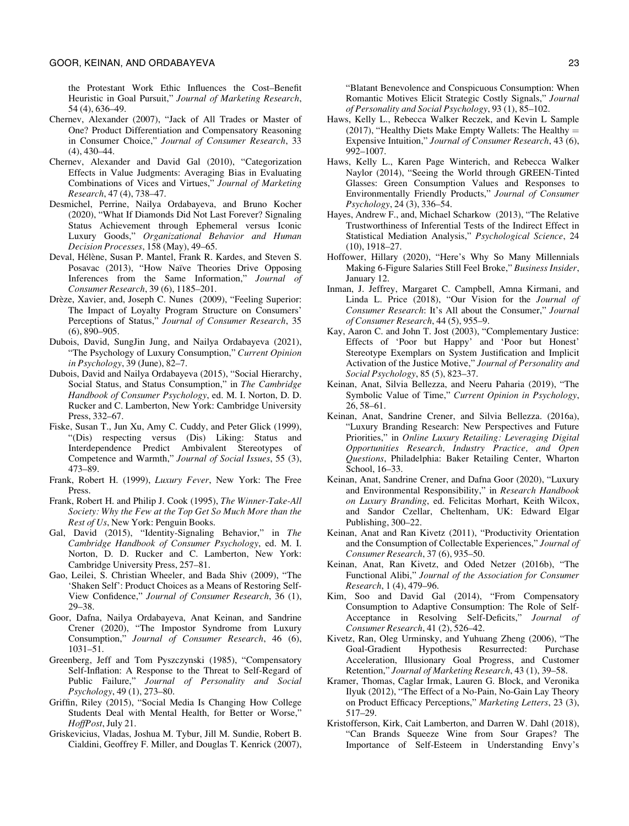<span id="page-22-0"></span>the Protestant Work Ethic Influences the Cost–Benefit Heuristic in Goal Pursuit," Journal of Marketing Research, 54 (4), 636–49.

- Chernev, Alexander (2007), "Jack of All Trades or Master of One? Product Differentiation and Compensatory Reasoning in Consumer Choice," Journal of Consumer Research, 33  $(4)$ , 430–44.
- Chernev, Alexander and David Gal (2010), "Categorization Effects in Value Judgments: Averaging Bias in Evaluating Combinations of Vices and Virtues," Journal of Marketing Research, 47 (4), 738–47.
- Desmichel, Perrine, Nailya Ordabayeva, and Bruno Kocher (2020), "What If Diamonds Did Not Last Forever? Signaling Status Achievement through Ephemeral versus Iconic Luxury Goods," Organizational Behavior and Human Decision Processes, 158 (May), 49–65.
- Deval, Hélène, Susan P. Mantel, Frank R. Kardes, and Steven S. Posavac (2013), "How Naïve Theories Drive Opposing Inferences from the Same Information," Journal of Consumer Research, 39 (6), 1185–201.
- Drèze, Xavier, and, Joseph C. Nunes (2009), "Feeling Superior: The Impact of Loyalty Program Structure on Consumers' Perceptions of Status," Journal of Consumer Research, 35 (6), 890–905.
- Dubois, David, SungJin Jung, and Nailya Ordabayeva (2021), "The Psychology of Luxury Consumption," Current Opinion in Psychology, 39 (June), 82–7.
- Dubois, David and Nailya Ordabayeva (2015), "Social Hierarchy, Social Status, and Status Consumption," in The Cambridge Handbook of Consumer Psychology, ed. M. I. Norton, D. D. Rucker and C. Lamberton, New York: Cambridge University Press, 332–67.
- Fiske, Susan T., Jun Xu, Amy C. Cuddy, and Peter Glick (1999), "(Dis) respecting versus (Dis) Liking: Status and Interdependence Predict Ambivalent Stereotypes of Competence and Warmth," Journal of Social Issues, 55 (3), 473–89.
- Frank, Robert H. (1999), Luxury Fever, New York: The Free Press.
- Frank, Robert H. and Philip J. Cook (1995), The Winner-Take-All Society: Why the Few at the Top Get So Much More than the Rest of Us, New York: Penguin Books.
- Gal, David (2015), "Identity-Signaling Behavior," in The Cambridge Handbook of Consumer Psychology, ed. M. I. Norton, D. D. Rucker and C. Lamberton, New York: Cambridge University Press, 257–81.
- Gao, Leilei, S. Christian Wheeler, and Bada Shiv (2009), "The 'Shaken Self': Product Choices as a Means of Restoring Self-View Confidence," Journal of Consumer Research, 36 (1), 29–38.
- Goor, Dafna, Nailya Ordabayeva, Anat Keinan, and Sandrine Crener (2020), "The Impostor Syndrome from Luxury Consumption," Journal of Consumer Research, 46 (6), 1031–51.
- Greenberg, Jeff and Tom Pyszczynski (1985), "Compensatory Self-Inflation: A Response to the Threat to Self-Regard of Public Failure," Journal of Personality and Social Psychology, 49 (1), 273–80.
- Griffin, Riley (2015), "Social Media Is Changing How College Students Deal with Mental Health, for Better or Worse," HoffPost, July 21.
- Griskevicius, Vladas, Joshua M. Tybur, Jill M. Sundie, Robert B. Cialdini, Geoffrey F. Miller, and Douglas T. Kenrick (2007),

"Blatant Benevolence and Conspicuous Consumption: When Romantic Motives Elicit Strategic Costly Signals," Journal of Personality and Social Psychology, 93 (1), 85–102.

- Haws, Kelly L., Rebecca Walker Reczek, and Kevin L Sample (2017), "Healthy Diets Make Empty Wallets: The Healthy  $=$ Expensive Intuition," Journal of Consumer Research, 43 (6), 992–1007.
- Haws, Kelly L., Karen Page Winterich, and Rebecca Walker Naylor (2014), "Seeing the World through GREEN-Tinted Glasses: Green Consumption Values and Responses to Environmentally Friendly Products," Journal of Consumer Psychology, 24 (3), 336–54.
- Hayes, Andrew F., and, Michael Scharkow (2013), "The Relative Trustworthiness of Inferential Tests of the Indirect Effect in Statistical Mediation Analysis," Psychological Science, 24 (10), 1918–27.
- Hoffower, Hillary (2020), "Here's Why So Many Millennials Making 6-Figure Salaries Still Feel Broke," Business Insider, January 12.
- Inman, J. Jeffrey, Margaret C. Campbell, Amna Kirmani, and Linda L. Price (2018), "Our Vision for the Journal of Consumer Research: It's All about the Consumer," Journal of Consumer Research, 44 (5), 955–9.
- Kay, Aaron C. and John T. Jost (2003), "Complementary Justice: Effects of 'Poor but Happy' and 'Poor but Honest' Stereotype Exemplars on System Justification and Implicit Activation of the Justice Motive," Journal of Personality and Social Psychology, 85 (5), 823–37.
- Keinan, Anat, Silvia Bellezza, and Neeru Paharia (2019), "The Symbolic Value of Time," Current Opinion in Psychology, 26, 58–61.
- Keinan, Anat, Sandrine Crener, and Silvia Bellezza. (2016a), "Luxury Branding Research: New Perspectives and Future Priorities," in Online Luxury Retailing: Leveraging Digital Opportunities Research, Industry Practice, and Open Questions, Philadelphia: Baker Retailing Center, Wharton School, 16–33.
- Keinan, Anat, Sandrine Crener, and Dafna Goor (2020), "Luxury and Environmental Responsibility," in Research Handbook on Luxury Branding, ed. Felicitas Morhart, Keith Wilcox, and Sandor Czellar, Cheltenham, UK: Edward Elgar Publishing, 300–22.
- Keinan, Anat and Ran Kivetz (2011), "Productivity Orientation and the Consumption of Collectable Experiences," Journal of Consumer Research, 37 (6), 935–50.
- Keinan, Anat, Ran Kivetz, and Oded Netzer (2016b), "The Functional Alibi," Journal of the Association for Consumer Research, 1 (4), 479–96.
- Kim, Soo and David Gal (2014), "From Compensatory Consumption to Adaptive Consumption: The Role of Self-Acceptance in Resolving Self-Deficits," Journal of Consumer Research, 41 (2), 526–42.
- Kivetz, Ran, Oleg Urminsky, and Yuhuang Zheng (2006), "The Goal-Gradient Hypothesis Resurrected: Purchase Acceleration, Illusionary Goal Progress, and Customer Retention," Journal of Marketing Research, 43 (1), 39–58.
- Kramer, Thomas, Caglar Irmak, Lauren G. Block, and Veronika Ilyuk (2012), "The Effect of a No-Pain, No-Gain Lay Theory on Product Efficacy Perceptions," Marketing Letters, 23 (3), 517–29.
- Kristofferson, Kirk, Cait Lamberton, and Darren W. Dahl (2018), "Can Brands Squeeze Wine from Sour Grapes? The Importance of Self-Esteem in Understanding Envy's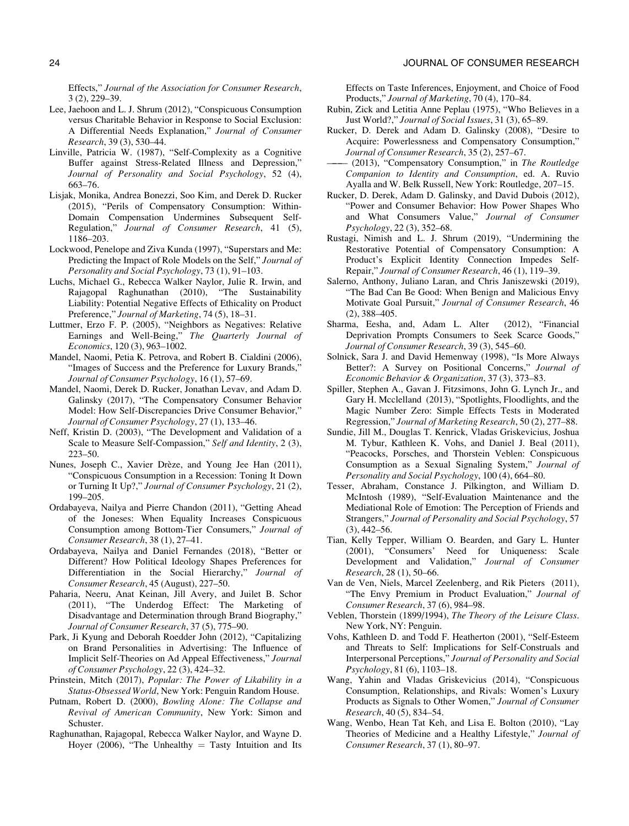<span id="page-23-0"></span>Effects," Journal of the Association for Consumer Research, 3 (2), 229–39.

- Lee, Jaehoon and L. J. Shrum (2012), "Conspicuous Consumption versus Charitable Behavior in Response to Social Exclusion: A Differential Needs Explanation," Journal of Consumer Research, 39 (3), 530–44.
- Linville, Patricia W. (1987), "Self-Complexity as a Cognitive Buffer against Stress-Related Illness and Depression," Journal of Personality and Social Psychology, 52 (4), 663–76.
- Lisjak, Monika, Andrea Bonezzi, Soo Kim, and Derek D. Rucker (2015), "Perils of Compensatory Consumption: Within-Domain Compensation Undermines Subsequent Self-Regulation," Journal of Consumer Research, 41 (5), 1186–203.
- Lockwood, Penelope and Ziva Kunda (1997), "Superstars and Me: Predicting the Impact of Role Models on the Self," Journal of Personality and Social Psychology, 73 (1), 91–103.
- Luchs, Michael G., Rebecca Walker Naylor, Julie R. Irwin, and Rajagopal Raghunathan (2010), "The Sustainability Liability: Potential Negative Effects of Ethicality on Product Preference," Journal of Marketing, 74 (5), 18–31.
- Luttmer, Erzo F. P. (2005), "Neighbors as Negatives: Relative Earnings and Well-Being," The Quarterly Journal of Economics, 120 (3), 963–1002.
- Mandel, Naomi, Petia K. Petrova, and Robert B. Cialdini (2006), "Images of Success and the Preference for Luxury Brands," Journal of Consumer Psychology, 16 (1), 57–69.
- Mandel, Naomi, Derek D. Rucker, Jonathan Levav, and Adam D. Galinsky (2017), "The Compensatory Consumer Behavior Model: How Self-Discrepancies Drive Consumer Behavior," Journal of Consumer Psychology, 27 (1), 133–46.
- Neff, Kristin D. (2003), "The Development and Validation of a Scale to Measure Self-Compassion," Self and Identity, 2 (3), 223–50.
- Nunes, Joseph C., Xavier Drèze, and Young Jee Han (2011), "Conspicuous Consumption in a Recession: Toning It Down or Turning It Up?," Journal of Consumer Psychology, 21 (2), 199–205.
- Ordabayeva, Nailya and Pierre Chandon (2011), "Getting Ahead of the Joneses: When Equality Increases Conspicuous Consumption among Bottom-Tier Consumers," Journal of Consumer Research, 38 (1), 27–41.
- Ordabayeva, Nailya and Daniel Fernandes (2018), "Better or Different? How Political Ideology Shapes Preferences for Differentiation in the Social Hierarchy," Journal of Consumer Research, 45 (August), 227–50.
- Paharia, Neeru, Anat Keinan, Jill Avery, and Juilet B. Schor (2011), "The Underdog Effect: The Marketing of Disadvantage and Determination through Brand Biography," Journal of Consumer Research, 37 (5), 775–90.
- Park, Ji Kyung and Deborah Roedder John (2012), "Capitalizing on Brand Personalities in Advertising: The Influence of Implicit Self-Theories on Ad Appeal Effectiveness," Journal of Consumer Psychology, 22 (3), 424–32.
- Prinstein, Mitch (2017), Popular: The Power of Likability in a Status-Obsessed World, New York: Penguin Random House.
- Putnam, Robert D. (2000), Bowling Alone: The Collapse and Revival of American Community, New York: Simon and Schuster.
- Raghunathan, Rajagopal, Rebecca Walker Naylor, and Wayne D. Hoyer (2006), "The Unhealthy  $=$  Tasty Intuition and Its

Effects on Taste Inferences, Enjoyment, and Choice of Food Products," Journal of Marketing, 70 (4), 170–84.

- Rubin, Zick and Letitia Anne Peplau (1975), "Who Believes in a Just World?," Journal of Social Issues, 31 (3), 65–89.
- Rucker, D. Derek and Adam D. Galinsky (2008), "Desire to Acquire: Powerlessness and Compensatory Consumption," Journal of Consumer Research, 35 (2), 257–67.
- (2013), "Compensatory Consumption," in The Routledge Companion to Identity and Consumption, ed. A. Ruvio Ayalla and W. Belk Russell, New York: Routledge, 207–15.
- Rucker, D. Derek, Adam D. Galinsky, and David Dubois (2012), "Power and Consumer Behavior: How Power Shapes Who and What Consumers Value," Journal of Consumer Psychology, 22 (3), 352–68.
- Rustagi, Nimish and L. J. Shrum (2019), "Undermining the Restorative Potential of Compensatory Consumption: A Product's Explicit Identity Connection Impedes Self-Repair," Journal of Consumer Research, 46 (1), 119–39.
- Salerno, Anthony, Juliano Laran, and Chris Janiszewski (2019), "The Bad Can Be Good: When Benign and Malicious Envy Motivate Goal Pursuit," Journal of Consumer Research, 46 (2), 388–405.
- Sharma, Eesha, and, Adam L. Alter (2012), "Financial Deprivation Prompts Consumers to Seek Scarce Goods," Journal of Consumer Research, 39 (3), 545–60.
- Solnick, Sara J. and David Hemenway (1998), "Is More Always Better?: A Survey on Positional Concerns," Journal of Economic Behavior & Organization, 37 (3), 373–83.
- Spiller, Stephen A., Gavan J. Fitzsimons, John G. Lynch Jr., and Gary H. Mcclelland (2013), "Spotlights, Floodlights, and the Magic Number Zero: Simple Effects Tests in Moderated Regression," Journal of Marketing Research, 50 (2), 277–88.
- Sundie, Jill M., Douglas T. Kenrick, Vladas Griskevicius, Joshua M. Tybur, Kathleen K. Vohs, and Daniel J. Beal (2011), "Peacocks, Porsches, and Thorstein Veblen: Conspicuous Consumption as a Sexual Signaling System," Journal of Personality and Social Psychology, 100 (4), 664-80.
- Tesser, Abraham, Constance J. Pilkington, and William D. McIntosh (1989), "Self-Evaluation Maintenance and the Mediational Role of Emotion: The Perception of Friends and Strangers," Journal of Personality and Social Psychology, 57 (3), 442–56.
- Tian, Kelly Tepper, William O. Bearden, and Gary L. Hunter (2001), "Consumers' Need for Uniqueness: Scale Development and Validation," Journal of Consumer Research, 28 (1), 50–66.
- Van de Ven, Niels, Marcel Zeelenberg, and Rik Pieters (2011), "The Envy Premium in Product Evaluation," Journal of Consumer Research, 37 (6), 984–98.
- Veblen, Thorstein (1899/1994), The Theory of the Leisure Class. New York, NY: Penguin.
- Vohs, Kathleen D. and Todd F. Heatherton (2001), "Self-Esteem and Threats to Self: Implications for Self-Construals and Interpersonal Perceptions," Journal of Personality and Social Psychology, 81 (6), 1103–18.
- Wang, Yahin and Vladas Griskevicius (2014), "Conspicuous Consumption, Relationships, and Rivals: Women's Luxury Products as Signals to Other Women," Journal of Consumer Research, 40 (5), 834–54.
- Wang, Wenbo, Hean Tat Keh, and Lisa E. Bolton (2010), "Lay Theories of Medicine and a Healthy Lifestyle," Journal of Consumer Research, 37 (1), 80–97.